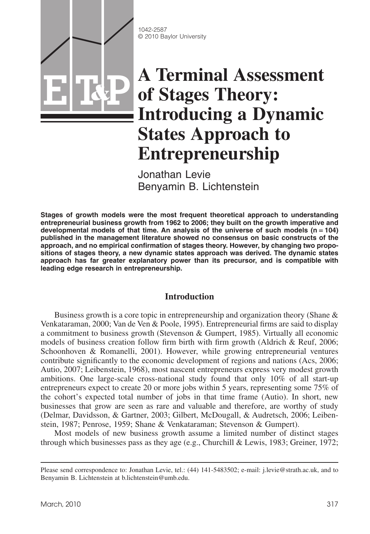1042-2587 © 2010 Baylor University

**E T&P**

# **A Terminal Assessment of Stages Theory: Introducing a Dynamic States Approach to Entrepreneurship**

Jonathan Levie Benyamin B. Lichtenstein

**Stages of growth models were the most frequent theoretical approach to understanding entrepreneurial business growth from 1962 to 2006; they built on the growth imperative and** developmental models of that time. An analysis of the universe of such models  $(n = 104)$ **published in the management literature showed no consensus on basic constructs of the approach, and no empirical confirmation of stages theory. However, by changing two propositions of stages theory, a new dynamic states approach was derived. The dynamic states approach has far greater explanatory power than its precursor, and is compatible with leading edge research in entrepreneurship.**

# **Introduction**

Business growth is a core topic in entrepreneurship and organization theory (Shane & Venkataraman, 2000; Van de Ven & Poole, 1995). Entrepreneurial firms are said to display a commitment to business growth (Stevenson & Gumpert, 1985). Virtually all economic models of business creation follow firm birth with firm growth (Aldrich & Reuf, 2006; Schoonhoven & Romanelli, 2001). However, while growing entrepreneurial ventures contribute significantly to the economic development of regions and nations (Acs, 2006; Autio, 2007; Leibenstein, 1968), most nascent entrepreneurs express very modest growth ambitions. One large-scale cross-national study found that only 10% of all start-up entrepreneurs expect to create 20 or more jobs within 5 years, representing some 75% of the cohort's expected total number of jobs in that time frame (Autio). In short, new businesses that grow are seen as rare and valuable and therefore, are worthy of study (Delmar, Davidsson, & Gartner, 2003; Gilbert, McDougall, & Audretsch, 2006; Leibenstein, 1987; Penrose, 1959; Shane & Venkataraman; Stevenson & Gumpert).

Most models of new business growth assume a limited number of distinct stages through which businesses pass as they age (e.g., Churchill & Lewis, 1983; Greiner, 1972;

Please send correspondence to: Jonathan Levie, tel.: (44) 141-5483502; e-mail: j.levie@strath.ac.uk, and to Benyamin B. Lichtenstein at b.lichtenstein@umb.edu.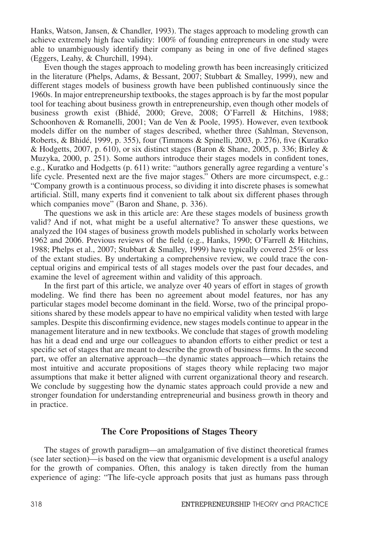Hanks, Watson, Jansen, & Chandler, 1993). The stages approach to modeling growth can achieve extremely high face validity: 100% of founding entrepreneurs in one study were able to unambiguously identify their company as being in one of five defined stages (Eggers, Leahy, & Churchill, 1994).

Even though the stages approach to modeling growth has been increasingly criticized in the literature (Phelps, Adams, & Bessant, 2007; Stubbart & Smalley, 1999), new and different stages models of business growth have been published continuously since the 1960s. In major entrepreneurship textbooks, the stages approach is by far the most popular tool for teaching about business growth in entrepreneurship, even though other models of business growth exist (Bhidé, 2000; Greve, 2008; O'Farrell & Hitchins, 1988; Schoonhoven & Romanelli, 2001; Van de Ven & Poole, 1995). However, even textbook models differ on the number of stages described, whether three (Sahlman, Stevenson, Roberts, & Bhidé, 1999, p. 355), four (Timmons & Spinelli, 2003, p. 276), five (Kuratko & Hodgetts, 2007, p. 610), or six distinct stages (Baron & Shane, 2005, p. 336; Birley & Muzyka, 2000, p. 251). Some authors introduce their stages models in confident tones, e.g., Kuratko and Hodgetts (p. 611) write: "authors generally agree regarding a venture's life cycle. Presented next are the five major stages." Others are more circumspect, e.g.: "Company growth is a continuous process, so dividing it into discrete phases is somewhat artificial. Still, many experts find it convenient to talk about six different phases through which companies move" (Baron and Shane, p. 336).

The questions we ask in this article are: Are these stages models of business growth valid? And if not, what might be a useful alternative? To answer these questions, we analyzed the 104 stages of business growth models published in scholarly works between 1962 and 2006. Previous reviews of the field (e.g., Hanks, 1990; O'Farrell & Hitchins, 1988; Phelps et al., 2007; Stubbart & Smalley, 1999) have typically covered 25% or less of the extant studies. By undertaking a comprehensive review, we could trace the conceptual origins and empirical tests of all stages models over the past four decades, and examine the level of agreement within and validity of this approach.

In the first part of this article, we analyze over 40 years of effort in stages of growth modeling. We find there has been no agreement about model features, nor has any particular stages model become dominant in the field. Worse, two of the principal propositions shared by these models appear to have no empirical validity when tested with large samples. Despite this disconfirming evidence, new stages models continue to appear in the management literature and in new textbooks. We conclude that stages of growth modeling has hit a dead end and urge our colleagues to abandon efforts to either predict or test a specific set of stages that are meant to describe the growth of business firms. In the second part, we offer an alternative approach—the dynamic states approach—which retains the most intuitive and accurate propositions of stages theory while replacing two major assumptions that make it better aligned with current organizational theory and research. We conclude by suggesting how the dynamic states approach could provide a new and stronger foundation for understanding entrepreneurial and business growth in theory and in practice.

## **The Core Propositions of Stages Theory**

The stages of growth paradigm—an amalgamation of five distinct theoretical frames (see later section)—is based on the view that organismic development is a useful analogy for the growth of companies. Often, this analogy is taken directly from the human experience of aging: "The life-cycle approach posits that just as humans pass through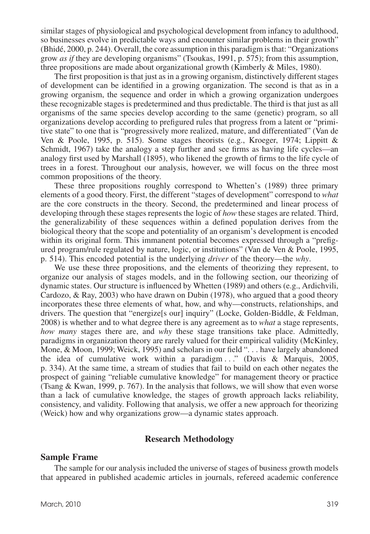similar stages of physiological and psychological development from infancy to adulthood, so businesses evolve in predictable ways and encounter similar problems in their growth" (Bhidé, 2000, p. 244). Overall, the core assumption in this paradigm is that: "Organizations grow *as if* they are developing organisms" (Tsoukas, 1991, p. 575); from this assumption, three propositions are made about organizational growth (Kimberly & Miles, 1980).

The first proposition is that just as in a growing organism, distinctively different stages of development can be identified in a growing organization. The second is that as in a growing organism, the sequence and order in which a growing organization undergoes these recognizable stages is predetermined and thus predictable. The third is that just as all organisms of the same species develop according to the same (genetic) program, so all organizations develop according to prefigured rules that progress from a latent or "primitive state" to one that is "progressively more realized, mature, and differentiated" (Van de Ven & Poole, 1995, p. 515). Some stages theorists (e.g., Kroeger, 1974; Lippitt & Schmidt, 1967) take the analogy a step further and see firms as having life cycles—an analogy first used by Marshall (1895), who likened the growth of firms to the life cycle of trees in a forest. Throughout our analysis, however, we will focus on the three most common propositions of the theory.

These three propositions roughly correspond to Whetten's (1989) three primary elements of a good theory. First, the different "stages of development" correspond to *what* are the core constructs in the theory. Second, the predetermined and linear process of developing through these stages represents the logic of *how* these stages are related. Third, the generalizability of these sequences within a defined population derives from the biological theory that the scope and potentiality of an organism's development is encoded within its original form. This immanent potential becomes expressed through a "prefigured program/rule regulated by nature, logic, or institutions" (Van de Ven & Poole, 1995, p. 514). This encoded potential is the underlying *driver* of the theory—the *why*.

We use these three propositions, and the elements of theorizing they represent, to organize our analysis of stages models, and in the following section, our theorizing of dynamic states. Our structure is influenced by Whetten (1989) and others (e.g., Ardichvili, Cardozo,  $\&$  Ray, 2003) who have drawn on Dubin (1978), who argued that a good theory incorporates these three elements of what, how, and why—constructs, relationships, and drivers. The question that "energize[s our] inquiry" (Locke, Golden-Biddle, & Feldman, 2008) is whether and to what degree there is any agreement as to *what* a stage represents, *how many* stages there are, and *why* these stage transitions take place. Admittedly, paradigms in organization theory are rarely valued for their empirical validity (McKinley, Mone, & Moon, 1999; Weick, 1995) and scholars in our field "... have largely abandoned the idea of cumulative work within a paradigm . . ." (Davis & Marquis, 2005, p. 334). At the same time, a stream of studies that fail to build on each other negates the prospect of gaining "reliable cumulative knowledge" for management theory or practice (Tsang & Kwan, 1999, p. 767). In the analysis that follows, we will show that even worse than a lack of cumulative knowledge, the stages of growth approach lacks reliability, consistency, and validity. Following that analysis, we offer a new approach for theorizing (Weick) how and why organizations grow—a dynamic states approach.

## **Research Methodology**

#### **Sample Frame**

The sample for our analysis included the universe of stages of business growth models that appeared in published academic articles in journals, refereed academic conference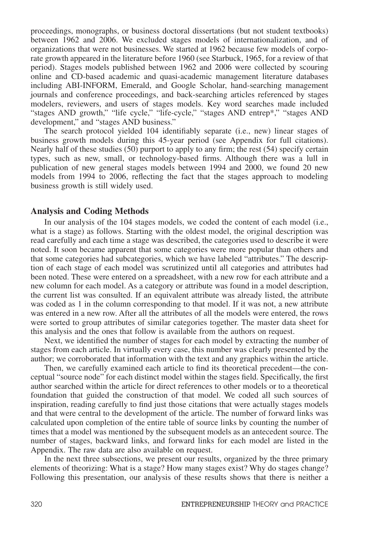proceedings, monographs, or business doctoral dissertations (but not student textbooks) between 1962 and 2006. We excluded stages models of internationalization, and of organizations that were not businesses. We started at 1962 because few models of corporate growth appeared in the literature before 1960 (see Starbuck, 1965, for a review of that period). Stages models published between 1962 and 2006 were collected by scouring online and CD-based academic and quasi-academic management literature databases including ABI-INFORM, Emerald, and Google Scholar, hand-searching management journals and conference proceedings, and back-searching articles referenced by stages modelers, reviewers, and users of stages models. Key word searches made included "stages AND growth," "life cycle," "life-cycle," "stages AND entrep\*," "stages AND development," and "stages AND business."

The search protocol yielded 104 identifiably separate (i.e., new) linear stages of business growth models during this 45-year period (see Appendix for full citations). Nearly half of these studies (50) purport to apply to any firm; the rest (54) specify certain types, such as new, small, or technology-based firms. Although there was a lull in publication of new general stages models between 1994 and 2000, we found 20 new models from 1994 to 2006, reflecting the fact that the stages approach to modeling business growth is still widely used.

## **Analysis and Coding Methods**

In our analysis of the 104 stages models, we coded the content of each model (i.e., what is a stage) as follows. Starting with the oldest model, the original description was read carefully and each time a stage was described, the categories used to describe it were noted. It soon became apparent that some categories were more popular than others and that some categories had subcategories, which we have labeled "attributes." The description of each stage of each model was scrutinized until all categories and attributes had been noted. These were entered on a spreadsheet, with a new row for each attribute and a new column for each model. As a category or attribute was found in a model description, the current list was consulted. If an equivalent attribute was already listed, the attribute was coded as 1 in the column corresponding to that model. If it was not, a new attribute was entered in a new row. After all the attributes of all the models were entered, the rows were sorted to group attributes of similar categories together. The master data sheet for this analysis and the ones that follow is available from the authors on request.

Next, we identified the number of stages for each model by extracting the number of stages from each article. In virtually every case, this number was clearly presented by the author; we corroborated that information with the text and any graphics within the article.

Then, we carefully examined each article to find its theoretical precedent—the conceptual "source node" for each distinct model within the stages field. Specifically, the first author searched within the article for direct references to other models or to a theoretical foundation that guided the construction of that model. We coded all such sources of inspiration, reading carefully to find just those citations that were actually stages models and that were central to the development of the article. The number of forward links was calculated upon completion of the entire table of source links by counting the number of times that a model was mentioned by the subsequent models as an antecedent source. The number of stages, backward links, and forward links for each model are listed in the Appendix. The raw data are also available on request.

In the next three subsections, we present our results, organized by the three primary elements of theorizing: What is a stage? How many stages exist? Why do stages change? Following this presentation, our analysis of these results shows that there is neither a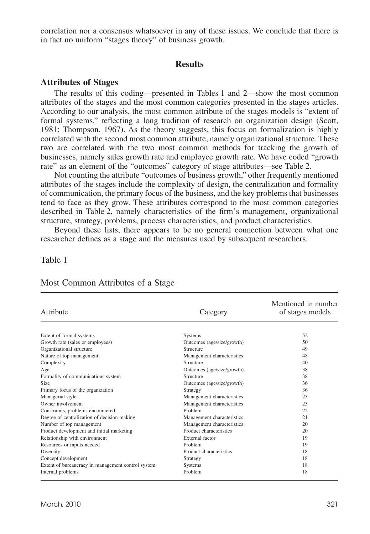correlation nor a consensus whatsoever in any of these issues. We conclude that there is in fact no uniform "stages theory" of business growth.

## **Results**

#### **Attributes of Stages**

The results of this coding—presented in Tables 1 and 2—show the most common attributes of the stages and the most common categories presented in the stages articles. According to our analysis, the most common attribute of the stages models is "extent of formal systems," reflecting a long tradition of research on organization design (Scott, 1981; Thompson, 1967). As the theory suggests, this focus on formalization is highly correlated with the second most common attribute, namely organizational structure. These two are correlated with the two most common methods for tracking the growth of businesses, namely sales growth rate and employee growth rate. We have coded "growth rate" as an element of the "outcomes" category of stage attributes—see Table 2.

Not counting the attribute "outcomes of business growth," other frequently mentioned attributes of the stages include the complexity of design, the centralization and formality of communication, the primary focus of the business, and the key problems that businesses tend to face as they grow. These attributes correspond to the most common categories described in Table 2, namely characteristics of the firm's management, organizational structure, strategy, problems, process characteristics, and product characteristics.

Beyond these lists, there appears to be no general connection between what one researcher defines as a stage and the measures used by subsequent researchers.

#### Table 1

| Attribute                                          | Category                   | Mentioned in number<br>of stages models |  |
|----------------------------------------------------|----------------------------|-----------------------------------------|--|
|                                                    |                            |                                         |  |
| Extent of formal systems                           | Systems                    | 52                                      |  |
| Growth rate (sales or employees)                   | Outcomes (age/size/growth) | 50                                      |  |
| Organizational structure                           | Structure                  | 49                                      |  |
| Nature of top management                           | Management characteristics | 48                                      |  |
| Complexity                                         | Structure                  | 40                                      |  |
| Age                                                | Outcomes (age/size/growth) | 38                                      |  |
| Formality of communications system                 | Structure                  | 38                                      |  |
| <b>Size</b>                                        | Outcomes (age/size/growth) | 36                                      |  |
| Primary focus of the organization                  | Strategy                   | 36                                      |  |
| Managerial style                                   | Management characteristics | 23                                      |  |
| Owner involvement                                  | Management characteristics | 23                                      |  |
| Constraints, problems encountered                  | Problem                    | 22                                      |  |
| Degree of centralization of decision making        | Management characteristics | 21                                      |  |
| Number of top management                           | Management characteristics | 20                                      |  |
| Product development and initial marketing          | Product characteristics    | 20                                      |  |
| Relationship with environment                      | External factor            | 19                                      |  |
| Resources or inputs needed                         | Problem                    | 19                                      |  |
| Diversity                                          | Product characteristics    | 18                                      |  |
| Concept development                                | Strategy                   | 18                                      |  |
| Extent of bureaucracy in management control system | <b>Systems</b>             | 18                                      |  |
| Internal problems                                  | Problem                    | 18                                      |  |

#### Most Common Attributes of a Stage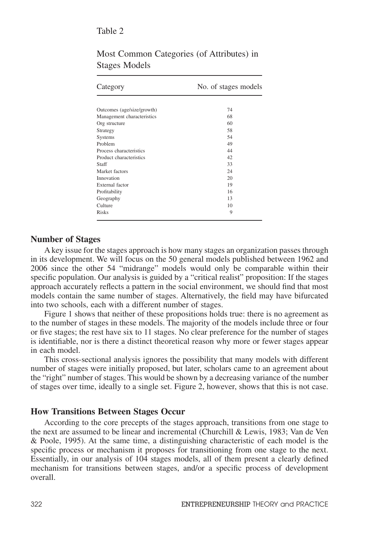| Category                   | No. of stages models |  |  |
|----------------------------|----------------------|--|--|
|                            |                      |  |  |
| Outcomes (age/size/growth) | 74                   |  |  |
| Management characteristics | 68                   |  |  |
| Org structure              | 60                   |  |  |
| Strategy                   | 58                   |  |  |
| Systems                    | 54                   |  |  |
| Problem                    | 49                   |  |  |
| Process characteristics    | 44                   |  |  |
| Product characteristics    | 42                   |  |  |
| Staff                      | 33                   |  |  |
| Market factors             | 24                   |  |  |
| Innovation                 | 20                   |  |  |
| External factor            | 19                   |  |  |
| Profitability              | 16                   |  |  |
| Geography                  | 13                   |  |  |
| Culture                    | 10                   |  |  |
| <b>Risks</b>               | 9                    |  |  |

Most Common Categories (of Attributes) in Stages Models

#### **Number of Stages**

A key issue for the stages approach is how many stages an organization passes through in its development. We will focus on the 50 general models published between 1962 and 2006 since the other 54 "midrange" models would only be comparable within their specific population. Our analysis is guided by a "critical realist" proposition: If the stages approach accurately reflects a pattern in the social environment, we should find that most models contain the same number of stages. Alternatively, the field may have bifurcated into two schools, each with a different number of stages.

Figure 1 shows that neither of these propositions holds true: there is no agreement as to the number of stages in these models. The majority of the models include three or four or five stages; the rest have six to 11 stages. No clear preference for the number of stages is identifiable, nor is there a distinct theoretical reason why more or fewer stages appear in each model.

This cross-sectional analysis ignores the possibility that many models with different number of stages were initially proposed, but later, scholars came to an agreement about the "right" number of stages. This would be shown by a decreasing variance of the number of stages over time, ideally to a single set. Figure 2, however, shows that this is not case.

#### **How Transitions Between Stages Occur**

According to the core precepts of the stages approach, transitions from one stage to the next are assumed to be linear and incremental (Churchill & Lewis, 1983; Van de Ven & Poole, 1995). At the same time, a distinguishing characteristic of each model is the specific process or mechanism it proposes for transitioning from one stage to the next. Essentially, in our analysis of 104 stages models, all of them present a clearly defined mechanism for transitions between stages, and/or a specific process of development overall.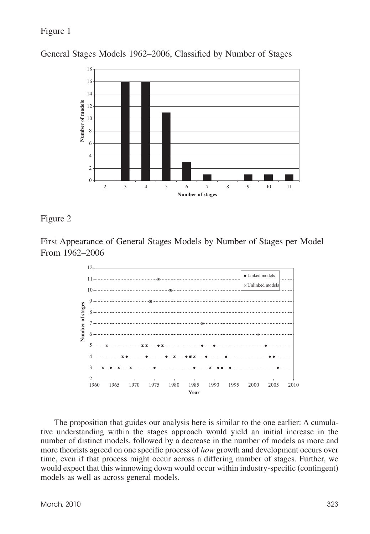# Figure 1



General Stages Models 1962–2006, Classified by Number of Stages

# Figure 2

First Appearance of General Stages Models by Number of Stages per Model From 1962–2006



The proposition that guides our analysis here is similar to the one earlier: A cumulative understanding within the stages approach would yield an initial increase in the number of distinct models, followed by a decrease in the number of models as more and more theorists agreed on one specific process of *how* growth and development occurs over time, even if that process might occur across a differing number of stages. Further, we would expect that this winnowing down would occur within industry-specific (contingent) models as well as across general models.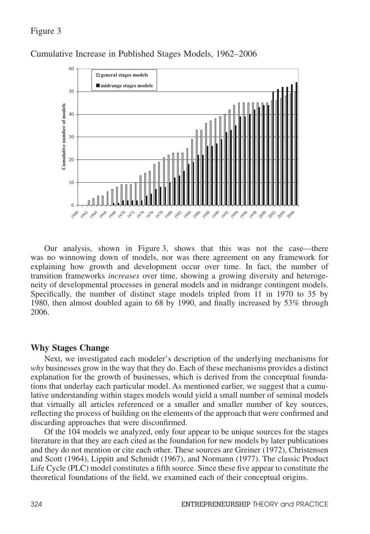# Figure 3



Cumulative Increase in Published Stages Models, 1962–2006

Our analysis, shown in Figure 3, shows that this was not the case—there was no winnowing down of models, nor was there agreement on any framework for explaining how growth and development occur over time. In fact, the number of transition frameworks *increases* over time, showing a growing diversity and heterogeneity of developmental processes in general models and in midrange contingent models. Specifically, the number of distinct stage models tripled from 11 in 1970 to 35 by 1980, then almost doubled again to 68 by 1990, and finally increased by 53% through 2006.

## **Why Stages Change**

Next, we investigated each modeler's description of the underlying mechanisms for *why* businesses grow in the way that they do. Each of these mechanisms provides a distinct explanation for the growth of businesses, which is derived from the conceptual foundations that underlay each particular model. As mentioned earlier, we suggest that a cumulative understanding within stages models would yield a small number of seminal models that virtually all articles referenced or a smaller and smaller number of key sources, reflecting the process of building on the elements of the approach that were confirmed and discarding approaches that were disconfirmed.

Of the 104 models we analyzed, only four appear to be unique sources for the stages literature in that they are each cited as the foundation for new models by later publications and they do not mention or cite each other. These sources are Greiner (1972), Christensen and Scott (1964), Lippitt and Schmidt (1967), and Normann (1977). The classic Product Life Cycle (PLC) model constitutes a fifth source. Since these five appear to constitute the theoretical foundations of the field, we examined each of their conceptual origins.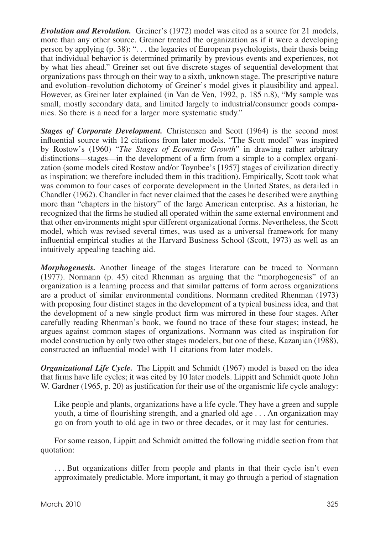*Evolution and Revolution.* Greiner's (1972) model was cited as a source for 21 models, more than any other source. Greiner treated the organization as if it were a developing person by applying (p. 38): ". . . the legacies of European psychologists, their thesis being that individual behavior is determined primarily by previous events and experiences, not by what lies ahead." Greiner set out five discrete stages of sequential development that organizations pass through on their way to a sixth, unknown stage. The prescriptive nature and evolution–revolution dichotomy of Greiner's model gives it plausibility and appeal. However, as Greiner later explained (in Van de Ven, 1992, p. 185 n.8), "My sample was small, mostly secondary data, and limited largely to industrial/consumer goods companies. So there is a need for a larger more systematic study."

*Stages of Corporate Development.* Christensen and Scott (1964) is the second most influential source with 12 citations from later models. "The Scott model" was inspired by Rostow's (1960) "*The Stages of Economic Growth*" in drawing rather arbitrary distinctions—stages—in the development of a firm from a simple to a complex organization (some models cited Rostow and/or Toynbee's [1957] stages of civilization directly as inspiration; we therefore included them in this tradition). Empirically, Scott took what was common to four cases of corporate development in the United States, as detailed in Chandler (1962). Chandler in fact never claimed that the cases he described were anything more than "chapters in the history" of the large American enterprise. As a historian, he recognized that the firms he studied all operated within the same external environment and that other environments might spur different organizational forms. Nevertheless, the Scott model, which was revised several times, was used as a universal framework for many influential empirical studies at the Harvard Business School (Scott, 1973) as well as an intuitively appealing teaching aid.

*Morphogenesis.* Another lineage of the stages literature can be traced to Normann (1977). Normann (p. 45) cited Rhenman as arguing that the "morphogenesis" of an organization is a learning process and that similar patterns of form across organizations are a product of similar environmental conditions. Normann credited Rhenman (1973) with proposing four distinct stages in the development of a typical business idea, and that the development of a new single product firm was mirrored in these four stages. After carefully reading Rhenman's book, we found no trace of these four stages; instead, he argues against common stages of organizations. Normann was cited as inspiration for model construction by only two other stages modelers, but one of these, Kazanjian (1988), constructed an influential model with 11 citations from later models.

*Organizational Life Cycle.* The Lippitt and Schmidt (1967) model is based on the idea that firms have life cycles; it was cited by 10 later models. Lippitt and Schmidt quote John W. Gardner (1965, p. 20) as justification for their use of the organismic life cycle analogy:

Like people and plants, organizations have a life cycle. They have a green and supple youth, a time of flourishing strength, and a gnarled old age . . . An organization may go on from youth to old age in two or three decades, or it may last for centuries.

For some reason, Lippitt and Schmidt omitted the following middle section from that quotation:

. . . But organizations differ from people and plants in that their cycle isn't even approximately predictable. More important, it may go through a period of stagnation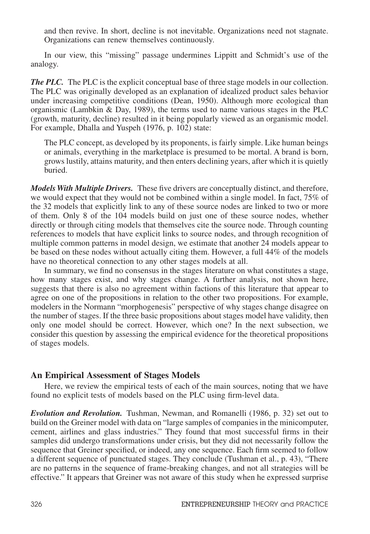and then revive. In short, decline is not inevitable. Organizations need not stagnate. Organizations can renew themselves continuously.

In our view, this "missing" passage undermines Lippitt and Schmidt's use of the analogy.

*The PLC.* The PLC is the explicit conceptual base of three stage models in our collection. The PLC was originally developed as an explanation of idealized product sales behavior under increasing competitive conditions (Dean, 1950). Although more ecological than organismic (Lambkin & Day, 1989), the terms used to name various stages in the PLC (growth, maturity, decline) resulted in it being popularly viewed as an organismic model. For example, Dhalla and Yuspeh (1976, p. 102) state:

The PLC concept, as developed by its proponents, is fairly simple. Like human beings or animals, everything in the marketplace is presumed to be mortal. A brand is born, grows lustily, attains maturity, and then enters declining years, after which it is quietly buried.

*ModelsWith Multiple Drivers.* These five drivers are conceptually distinct, and therefore, we would expect that they would not be combined within a single model. In fact, 75% of the 32 models that explicitly link to any of these source nodes are linked to two or more of them. Only 8 of the 104 models build on just one of these source nodes, whether directly or through citing models that themselves cite the source node. Through counting references to models that have explicit links to source nodes, and through recognition of multiple common patterns in model design, we estimate that another 24 models appear to be based on these nodes without actually citing them. However, a full 44% of the models have no theoretical connection to any other stages models at all.

In summary, we find no consensus in the stages literature on what constitutes a stage, how many stages exist, and why stages change. A further analysis, not shown here, suggests that there is also no agreement within factions of this literature that appear to agree on one of the propositions in relation to the other two propositions. For example, modelers in the Normann "morphogenesis" perspective of why stages change disagree on the number of stages. If the three basic propositions about stages model have validity, then only one model should be correct. However, which one? In the next subsection, we consider this question by assessing the empirical evidence for the theoretical propositions of stages models.

#### **An Empirical Assessment of Stages Models**

Here, we review the empirical tests of each of the main sources, noting that we have found no explicit tests of models based on the PLC using firm-level data.

*Evolution and Revolution.* Tushman, Newman, and Romanelli (1986, p. 32) set out to build on the Greiner model with data on "large samples of companies in the minicomputer, cement, airlines and glass industries." They found that most successful firms in their samples did undergo transformations under crisis, but they did not necessarily follow the sequence that Greiner specified, or indeed, any one sequence. Each firm seemed to follow a different sequence of punctuated stages. They conclude (Tushman et al., p. 43), "There are no patterns in the sequence of frame-breaking changes, and not all strategies will be effective." It appears that Greiner was not aware of this study when he expressed surprise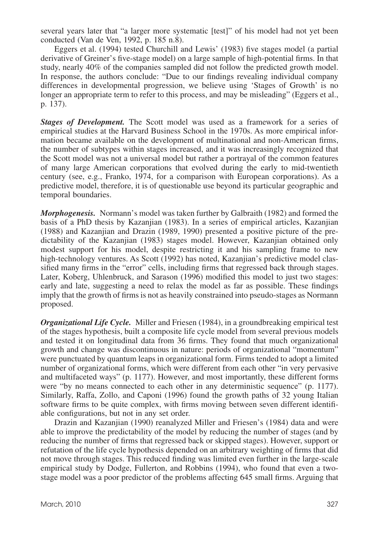several years later that "a larger more systematic [test]" of his model had not yet been conducted (Van de Ven, 1992, p. 185 n.8).

Eggers et al. (1994) tested Churchill and Lewis' (1983) five stages model (a partial derivative of Greiner's five-stage model) on a large sample of high-potential firms. In that study, nearly 40% of the companies sampled did not follow the predicted growth model. In response, the authors conclude: "Due to our findings revealing individual company differences in developmental progression, we believe using 'Stages of Growth' is no longer an appropriate term to refer to this process, and may be misleading" (Eggers et al., p. 137).

*Stages of Development.* The Scott model was used as a framework for a series of empirical studies at the Harvard Business School in the 1970s. As more empirical information became available on the development of multinational and non-American firms, the number of subtypes within stages increased, and it was increasingly recognized that the Scott model was not a universal model but rather a portrayal of the common features of many large American corporations that evolved during the early to mid-twentieth century (see, e.g., Franko, 1974, for a comparison with European corporations). As a predictive model, therefore, it is of questionable use beyond its particular geographic and temporal boundaries.

*Morphogenesis.* Normann's model was taken further by Galbraith (1982) and formed the basis of a PhD thesis by Kazanjian (1983). In a series of empirical articles, Kazanjian (1988) and Kazanjian and Drazin (1989, 1990) presented a positive picture of the predictability of the Kazanjian (1983) stages model. However, Kazanjian obtained only modest support for his model, despite restricting it and his sampling frame to new high-technology ventures. As Scott (1992) has noted, Kazanjian's predictive model classified many firms in the "error" cells, including firms that regressed back through stages. Later, Koberg, Uhlenbruck, and Sarason (1996) modified this model to just two stages: early and late, suggesting a need to relax the model as far as possible. These findings imply that the growth of firms is not as heavily constrained into pseudo-stages as Normann proposed.

*Organizational Life Cycle.* Miller and Friesen (1984), in a groundbreaking empirical test of the stages hypothesis, built a composite life cycle model from several previous models and tested it on longitudinal data from 36 firms. They found that much organizational growth and change was discontinuous in nature: periods of organizational "momentum" were punctuated by quantum leaps in organizational form. Firms tended to adopt a limited number of organizational forms, which were different from each other "in very pervasive and multifaceted ways" (p. 1177). However, and most importantly, these different forms were "by no means connected to each other in any deterministic sequence" (p. 1177). Similarly, Raffa, Zollo, and Caponi (1996) found the growth paths of 32 young Italian software firms to be quite complex, with firms moving between seven different identifiable configurations, but not in any set order.

Drazin and Kazanjian (1990) reanalyzed Miller and Friesen's (1984) data and were able to improve the predictability of the model by reducing the number of stages (and by reducing the number of firms that regressed back or skipped stages). However, support or refutation of the life cycle hypothesis depended on an arbitrary weighting of firms that did not move through stages. This reduced finding was limited even further in the large-scale empirical study by Dodge, Fullerton, and Robbins (1994), who found that even a twostage model was a poor predictor of the problems affecting 645 small firms. Arguing that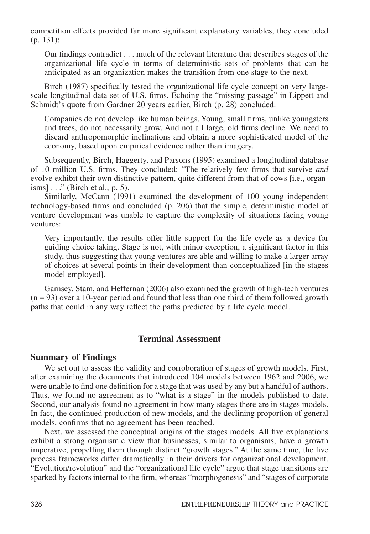competition effects provided far more significant explanatory variables, they concluded (p. 131):

Our findings contradict... much of the relevant literature that describes stages of the organizational life cycle in terms of deterministic sets of problems that can be anticipated as an organization makes the transition from one stage to the next.

Birch (1987) specifically tested the organizational life cycle concept on very largescale longitudinal data set of U.S. firms. Echoing the "missing passage" in Lippett and Schmidt's quote from Gardner 20 years earlier, Birch (p. 28) concluded:

Companies do not develop like human beings. Young, small firms, unlike youngsters and trees, do not necessarily grow. And not all large, old firms decline. We need to discard anthropomorphic inclinations and obtain a more sophisticated model of the economy, based upon empirical evidence rather than imagery.

Subsequently, Birch, Haggerty, and Parsons (1995) examined a longitudinal database of 10 million U.S. firms. They concluded: "The relatively few firms that survive *and* evolve exhibit their own distinctive pattern, quite different from that of cows [i.e., organ $isms] \dots$ " (Birch et al., p. 5).

Similarly, McCann (1991) examined the development of 100 young independent technology-based firms and concluded (p. 206) that the simple, deterministic model of venture development was unable to capture the complexity of situations facing young ventures:

Very importantly, the results offer little support for the life cycle as a device for guiding choice taking. Stage is not, with minor exception, a significant factor in this study, thus suggesting that young ventures are able and willing to make a larger array of choices at several points in their development than conceptualized [in the stages model employed].

Garnsey, Stam, and Heffernan (2006) also examined the growth of high-tech ventures  $(n = 93)$  over a 10-year period and found that less than one third of them followed growth paths that could in any way reflect the paths predicted by a life cycle model.

## **Terminal Assessment**

#### **Summary of Findings**

We set out to assess the validity and corroboration of stages of growth models. First, after examining the documents that introduced 104 models between 1962 and 2006, we were unable to find one definition for a stage that was used by any but a handful of authors. Thus, we found no agreement as to "what is a stage" in the models published to date. Second, our analysis found no agreement in how many stages there are in stages models. In fact, the continued production of new models, and the declining proportion of general models, confirms that no agreement has been reached.

Next, we assessed the conceptual origins of the stages models. All five explanations exhibit a strong organismic view that businesses, similar to organisms, have a growth imperative, propelling them through distinct "growth stages." At the same time, the five process frameworks differ dramatically in their drivers for organizational development. "Evolution/revolution" and the "organizational life cycle" argue that stage transitions are sparked by factors internal to the firm, whereas "morphogenesis" and "stages of corporate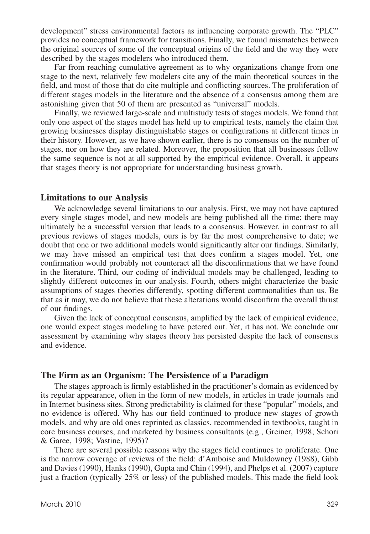development" stress environmental factors as influencing corporate growth. The "PLC" provides no conceptual framework for transitions. Finally, we found mismatches between the original sources of some of the conceptual origins of the field and the way they were described by the stages modelers who introduced them.

Far from reaching cumulative agreement as to why organizations change from one stage to the next, relatively few modelers cite any of the main theoretical sources in the field, and most of those that do cite multiple and conflicting sources. The proliferation of different stages models in the literature and the absence of a consensus among them are astonishing given that 50 of them are presented as "universal" models.

Finally, we reviewed large-scale and multistudy tests of stages models. We found that only one aspect of the stages model has held up to empirical tests, namely the claim that growing businesses display distinguishable stages or configurations at different times in their history. However, as we have shown earlier, there is no consensus on the number of stages, nor on how they are related. Moreover, the proposition that all businesses follow the same sequence is not at all supported by the empirical evidence. Overall, it appears that stages theory is not appropriate for understanding business growth.

#### **Limitations to our Analysis**

We acknowledge several limitations to our analysis. First, we may not have captured every single stages model, and new models are being published all the time; there may ultimately be a successful version that leads to a consensus. However, in contrast to all previous reviews of stages models, ours is by far the most comprehensive to date; we doubt that one or two additional models would significantly alter our findings. Similarly, we may have missed an empirical test that does confirm a stages model. Yet, one confirmation would probably not counteract all the disconfirmations that we have found in the literature. Third, our coding of individual models may be challenged, leading to slightly different outcomes in our analysis. Fourth, others might characterize the basic assumptions of stages theories differently, spotting different commonalities than us. Be that as it may, we do not believe that these alterations would disconfirm the overall thrust of our findings.

Given the lack of conceptual consensus, amplified by the lack of empirical evidence, one would expect stages modeling to have petered out. Yet, it has not. We conclude our assessment by examining why stages theory has persisted despite the lack of consensus and evidence.

#### **The Firm as an Organism: The Persistence of a Paradigm**

The stages approach is firmly established in the practitioner's domain as evidenced by its regular appearance, often in the form of new models, in articles in trade journals and in Internet business sites. Strong predictability is claimed for these "popular" models, and no evidence is offered. Why has our field continued to produce new stages of growth models, and why are old ones reprinted as classics, recommended in textbooks, taught in core business courses, and marketed by business consultants (e.g., Greiner, 1998; Schori & Garee, 1998; Vastine, 1995)?

There are several possible reasons why the stages field continues to proliferate. One is the narrow coverage of reviews of the field: d'Amboise and Muldowney (1988), Gibb and Davies (1990), Hanks (1990), Gupta and Chin (1994), and Phelps et al. (2007) capture just a fraction (typically 25% or less) of the published models. This made the field look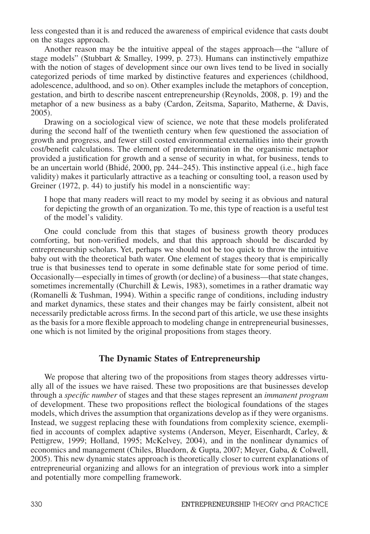less congested than it is and reduced the awareness of empirical evidence that casts doubt on the stages approach.

Another reason may be the intuitive appeal of the stages approach—the "allure of stage models" (Stubbart & Smalley, 1999, p. 273). Humans can instinctively empathize with the notion of stages of development since our own lives tend to be lived in socially categorized periods of time marked by distinctive features and experiences (childhood, adolescence, adulthood, and so on). Other examples include the metaphors of conception, gestation, and birth to describe nascent entrepreneurship (Reynolds, 2008, p. 19) and the metaphor of a new business as a baby (Cardon, Zeitsma, Saparito, Matherne, & Davis, 2005).

Drawing on a sociological view of science, we note that these models proliferated during the second half of the twentieth century when few questioned the association of growth and progress, and fewer still costed environmental externalities into their growth cost/benefit calculations. The element of predetermination in the organismic metaphor provided a justification for growth and a sense of security in what, for business, tends to be an uncertain world (Bhidé, 2000, pp. 244–245). This instinctive appeal (i.e., high face validity) makes it particularly attractive as a teaching or consulting tool, a reason used by Greiner (1972, p. 44) to justify his model in a nonscientific way:

I hope that many readers will react to my model by seeing it as obvious and natural for depicting the growth of an organization. To me, this type of reaction is a useful test of the model's validity.

One could conclude from this that stages of business growth theory produces comforting, but non-verified models, and that this approach should be discarded by entrepreneurship scholars. Yet, perhaps we should not be too quick to throw the intuitive baby out with the theoretical bath water. One element of stages theory that is empirically true is that businesses tend to operate in some definable state for some period of time. Occasionally—especially in times of growth (or decline) of a business—that state changes, sometimes incrementally (Churchill & Lewis, 1983), sometimes in a rather dramatic way (Romanelli & Tushman, 1994). Within a specific range of conditions, including industry and market dynamics, these states and their changes may be fairly consistent, albeit not necessarily predictable across firms. In the second part of this article, we use these insights as the basis for a more flexible approach to modeling change in entrepreneurial businesses, one which is not limited by the original propositions from stages theory.

#### **The Dynamic States of Entrepreneurship**

We propose that altering two of the propositions from stages theory addresses virtually all of the issues we have raised. These two propositions are that businesses develop through a *specific number* of stages and that these stages represent an *immanent program* of development. These two propositions reflect the biological foundations of the stages models, which drives the assumption that organizations develop as if they were organisms. Instead, we suggest replacing these with foundations from complexity science, exemplified in accounts of complex adaptive systems (Anderson, Meyer, Eisenhardt, Carley, & Pettigrew, 1999; Holland, 1995; McKelvey, 2004), and in the nonlinear dynamics of economics and management (Chiles, Bluedorn, & Gupta, 2007; Meyer, Gaba, & Colwell, 2005). This new dynamic states approach is theoretically closer to current explanations of entrepreneurial organizing and allows for an integration of previous work into a simpler and potentially more compelling framework.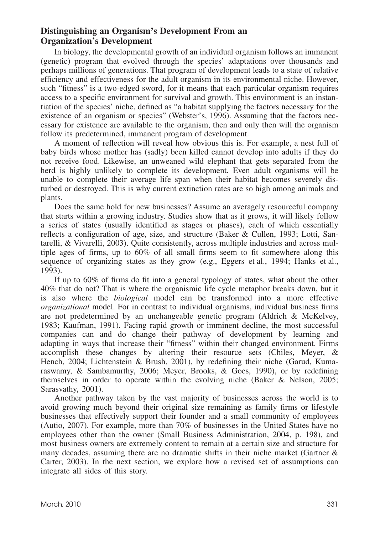# **Distinguishing an Organism's Development From an Organization's Development**

In biology, the developmental growth of an individual organism follows an immanent (genetic) program that evolved through the species' adaptations over thousands and perhaps millions of generations. That program of development leads to a state of relative efficiency and effectiveness for the adult organism in its environmental niche. However, such "fitness" is a two-edged sword, for it means that each particular organism requires access to a specific environment for survival and growth. This environment is an instantiation of the species' niche, defined as "a habitat supplying the factors necessary for the existence of an organism or species" (Webster's, 1996). Assuming that the factors necessary for existence are available to the organism, then and only then will the organism follow its predetermined, immanent program of development.

A moment of reflection will reveal how obvious this is. For example, a nest full of baby birds whose mother has (sadly) been killed cannot develop into adults if they do not receive food. Likewise, an unweaned wild elephant that gets separated from the herd is highly unlikely to complete its development. Even adult organisms will be unable to complete their average life span when their habitat becomes severely disturbed or destroyed. This is why current extinction rates are so high among animals and plants.

Does the same hold for new businesses? Assume an averagely resourceful company that starts within a growing industry. Studies show that as it grows, it will likely follow a series of states (usually identified as stages or phases), each of which essentially reflects a configuration of age, size, and structure (Baker & Cullen, 1993; Lotti, Santarelli, & Vivarelli, 2003). Quite consistently, across multiple industries and across multiple ages of firms, up to 60% of all small firms seem to fit somewhere along this sequence of organizing states as they grow (e.g., Eggers et al., 1994; Hanks et al., 1993).

If up to 60% of firms do fit into a general typology of states, what about the other 40% that do not? That is where the organismic life cycle metaphor breaks down, but it is also where the *biological* model can be transformed into a more effective *organizational* model. For in contrast to individual organisms, individual business firms are not predetermined by an unchangeable genetic program (Aldrich & McKelvey, 1983; Kaufman, 1991). Facing rapid growth or imminent decline, the most successful companies can and do change their pathway of development by learning and adapting in ways that increase their "fitness" within their changed environment. Firms accomplish these changes by altering their resource sets (Chiles, Meyer, & Hench, 2004; Lichtenstein & Brush, 2001), by redefining their niche (Garud, Kumaraswamy, & Sambamurthy, 2006; Meyer, Brooks, & Goes, 1990), or by redefining themselves in order to operate within the evolving niche (Baker & Nelson, 2005; Sarasvathy, 2001).

Another pathway taken by the vast majority of businesses across the world is to avoid growing much beyond their original size remaining as family firms or lifestyle businesses that effectively support their founder and a small community of employees (Autio, 2007). For example, more than 70% of businesses in the United States have no employees other than the owner (Small Business Administration, 2004, p. 198), and most business owners are extremely content to remain at a certain size and structure for many decades, assuming there are no dramatic shifts in their niche market (Gartner  $\&$ Carter, 2003). In the next section, we explore how a revised set of assumptions can integrate all sides of this story.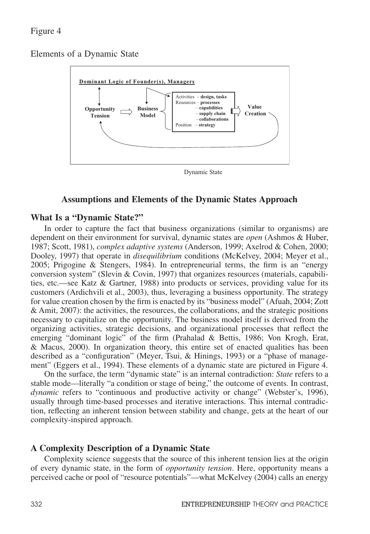# Figure 4

Elements of a Dynamic State



#### **Assumptions and Elements of the Dynamic States Approach**

## **What Is a "Dynamic State?"**

In order to capture the fact that business organizations (similar to organisms) are dependent on their environment for survival, dynamic states are *open* (Ashmos & Huber, 1987; Scott, 1981), *complex adaptive systems* (Anderson, 1999; Axelrod & Cohen, 2000; Dooley, 1997) that operate in *disequilibrium* conditions (McKelvey, 2004; Meyer et al., 2005; Prigogine & Stengers, 1984). In entrepreneurial terms, the firm is an "energy conversion system" (Slevin & Covin, 1997) that organizes resources (materials, capabilities, etc.—see Katz & Gartner, 1988) into products or services, providing value for its customers (Ardichvili et al., 2003), thus, leveraging a business opportunity. The strategy for value creation chosen by the firm is enacted by its "business model" (Afuah, 2004; Zott  $&$  Amit, 2007): the activities, the resources, the collaborations, and the strategic positions necessary to capitalize on the opportunity. The business model itself is derived from the organizing activities, strategic decisions, and organizational processes that reflect the emerging "dominant logic" of the firm (Prahalad & Bettis, 1986; Von Krogh, Erat, & Macus, 2000). In organization theory, this entire set of enacted qualities has been described as a "configuration" (Meyer, Tsui, & Hinings, 1993) or a "phase of management" (Eggers et al., 1994). These elements of a dynamic state are pictured in Figure 4.

On the surface, the term "dynamic state" is an internal contradiction: *State* refers to a stable mode—literally "a condition or stage of being," the outcome of events. In contrast, *dynamic* refers to "continuous and productive activity or change" (Webster's, 1996), usually through time-based processes and iterative interactions. This internal contradiction, reflecting an inherent tension between stability and change, gets at the heart of our complexity-inspired approach.

#### **A Complexity Description of a Dynamic State**

Complexity science suggests that the source of this inherent tension lies at the origin of every dynamic state, in the form of *opportunity tension*. Here, opportunity means a perceived cache or pool of "resource potentials"—what McKelvey (2004) calls an energy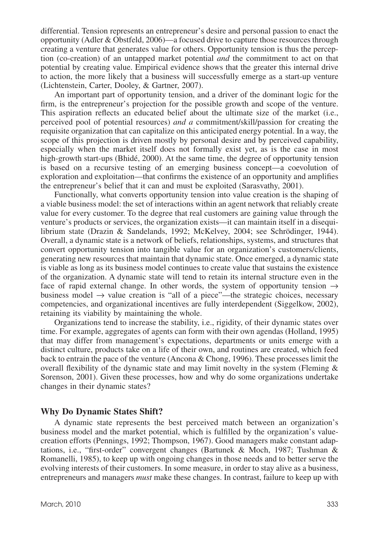differential. Tension represents an entrepreneur's desire and personal passion to enact the opportunity (Adler & Obstfeld, 2006)—a focused drive to capture those resources through creating a venture that generates value for others. Opportunity tension is thus the perception (co-creation) of an untapped market potential *and* the commitment to act on that potential by creating value. Empirical evidence shows that the greater this internal drive to action, the more likely that a business will successfully emerge as a start-up venture (Lichtenstein, Carter, Dooley, & Gartner, 2007).

An important part of opportunity tension, and a driver of the dominant logic for the firm, is the entrepreneur's projection for the possible growth and scope of the venture. This aspiration reflects an educated belief about the ultimate size of the market (i.e., perceived pool of potential resources) *and a* commitment/skill/passion for creating the requisite organization that can capitalize on this anticipated energy potential. In a way, the scope of this projection is driven mostly by personal desire and by perceived capability, especially when the market itself does not formally exist yet, as is the case in most high-growth start-ups (Bhidé, 2000). At the same time, the degree of opportunity tension is based on a recursive testing of an emerging business concept—a coevolution of exploration and exploitation—that confirms the existence of an opportunity and amplifies the entrepreneur's belief that it can and must be exploited (Sarasvathy, 2001).

Functionally, what converts opportunity tension into value creation is the shaping of a viable business model: the set of interactions within an agent network that reliably create value for every customer. To the degree that real customers are gaining value through the venture's products or services, the organization exists—it can maintain itself in a disequilibrium state (Drazin & Sandelands, 1992; McKelvey, 2004; see Schrödinger, 1944). Overall, a dynamic state is a network of beliefs, relationships, systems, and structures that convert opportunity tension into tangible value for an organization's customers/clients, generating new resources that maintain that dynamic state. Once emerged, a dynamic state is viable as long as its business model continues to create value that sustains the existence of the organization. A dynamic state will tend to retain its internal structure even in the face of rapid external change. In other words, the system of opportunity tension  $\rightarrow$ business model  $\rightarrow$  value creation is "all of a piece"—the strategic choices, necessary competencies, and organizational incentives are fully interdependent (Siggelkow, 2002), retaining its viability by maintaining the whole.

Organizations tend to increase the stability, i.e., rigidity, of their dynamic states over time. For example, aggregates of agents can form with their own agendas (Holland, 1995) that may differ from management's expectations, departments or units emerge with a distinct culture, products take on a life of their own, and routines are created, which feed back to entrain the pace of the venture (Ancona & Chong, 1996). These processes limit the overall flexibility of the dynamic state and may limit novelty in the system (Fleming  $\&$ Sorenson, 2001). Given these processes, how and why do some organizations undertake changes in their dynamic states?

## **Why Do Dynamic States Shift?**

A dynamic state represents the best perceived match between an organization's business model and the market potential, which is fulfilled by the organization's valuecreation efforts (Pennings, 1992; Thompson, 1967). Good managers make constant adaptations, i.e., "first-order" convergent changes (Bartunek & Moch, 1987; Tushman & Romanelli, 1985), to keep up with ongoing changes in those needs and to better serve the evolving interests of their customers. In some measure, in order to stay alive as a business, entrepreneurs and managers *must* make these changes. In contrast, failure to keep up with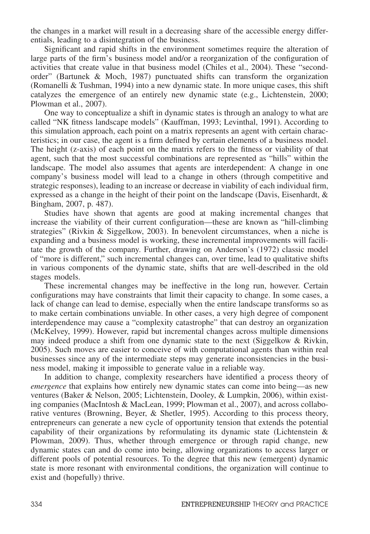the changes in a market will result in a decreasing share of the accessible energy differentials, leading to a disintegration of the business.

Significant and rapid shifts in the environment sometimes require the alteration of large parts of the firm's business model and/or a reorganization of the configuration of activities that create value in that business model (Chiles et al., 2004). These "secondorder" (Bartunek & Moch, 1987) punctuated shifts can transform the organization (Romanelli & Tushman, 1994) into a new dynamic state. In more unique cases, this shift catalyzes the emergence of an entirely new dynamic state (e.g., Lichtenstein, 2000; Plowman et al., 2007).

One way to conceptualize a shift in dynamic states is through an analogy to what are called "NK fitness landscape models" (Kauffman, 1993; Levinthal, 1991). According to this simulation approach, each point on a matrix represents an agent with certain characteristics; in our case, the agent is a firm defined by certain elements of a business model. The height (z-axis) of each point on the matrix refers to the fitness or viability of that agent, such that the most successful combinations are represented as "hills" within the landscape. The model also assumes that agents are interdependent: A change in one company's business model will lead to a change in others (through competitive and strategic responses), leading to an increase or decrease in viability of each individual firm, expressed as a change in the height of their point on the landscape (Davis, Eisenhardt,  $\&$ Bingham, 2007, p. 487).

Studies have shown that agents are good at making incremental changes that increase the viability of their current configuration—these are known as "hill-climbing strategies" (Rivkin & Siggelkow, 2003). In benevolent circumstances, when a niche is expanding and a business model is working, these incremental improvements will facilitate the growth of the company. Further, drawing on Anderson's (1972) classic model of "more is different," such incremental changes can, over time, lead to qualitative shifts in various components of the dynamic state, shifts that are well-described in the old stages models.

These incremental changes may be ineffective in the long run, however. Certain configurations may have constraints that limit their capacity to change. In some cases, a lack of change can lead to demise, especially when the entire landscape transforms so as to make certain combinations unviable. In other cases, a very high degree of component interdependence may cause a "complexity catastrophe" that can destroy an organization (McKelvey, 1999). However, rapid but incremental changes across multiple dimensions may indeed produce a shift from one dynamic state to the next (Siggelkow  $\&$  Rivkin, 2005). Such moves are easier to conceive of with computational agents than within real businesses since any of the intermediate steps may generate inconsistencies in the business model, making it impossible to generate value in a reliable way.

In addition to change, complexity researchers have identified a process theory of *emergence* that explains how entirely new dynamic states can come into being—as new ventures (Baker & Nelson, 2005; Lichtenstein, Dooley, & Lumpkin, 2006), within existing companies (MacIntosh & MacLean, 1999; Plowman et al., 2007), and across collaborative ventures (Browning, Beyer, & Shetler, 1995). According to this process theory, entrepreneurs can generate a new cycle of opportunity tension that extends the potential capability of their organizations by reformulating its dynamic state (Lichtenstein & Plowman, 2009). Thus, whether through emergence or through rapid change, new dynamic states can and do come into being, allowing organizations to access larger or different pools of potential resources. To the degree that this new (emergent) dynamic state is more resonant with environmental conditions, the organization will continue to exist and (hopefully) thrive.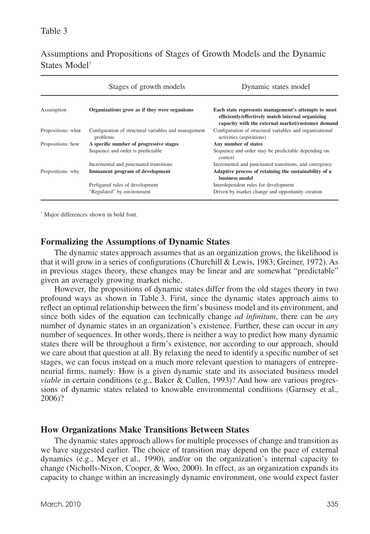Assumptions and Propositions of Stages of Growth Models and the Dynamic States Model†

|                    | Stages of growth models                                          | Dynamic states model                                                                                                                                          |
|--------------------|------------------------------------------------------------------|---------------------------------------------------------------------------------------------------------------------------------------------------------------|
| Assumption         | Organizations grow as if they were organisms                     | Each state represents management's attempts to most<br>efficiently/effectively match internal organizing<br>capacity with the external market/customer demand |
| Propositions: what | Configuration of structural variables and management<br>problems | Configuration of structural variables and organizational<br>activities (aspirations)                                                                          |
| Propositions: how  | A specific number of progressive stages                          | Any number of states                                                                                                                                          |
|                    | Sequence and order is predictable                                | Sequence and order may be predictable depending on<br>context                                                                                                 |
|                    | Incremental and punctuated transitions                           | Incremental and punctuated transitions, and emergence                                                                                                         |
| Propositions: why  | Immanent program of development                                  | Adaptive process of retaining the sustainability of a<br>business model                                                                                       |
|                    | Prefigured rules of development                                  | Interdependent rules for development                                                                                                                          |
|                    | "Regulated" by environment                                       | Driven by market change and opportunity creation                                                                                                              |

† Major differences shown in bold font.

#### **Formalizing the Assumptions of Dynamic States**

The dynamic states approach assumes that as an organization grows, the likelihood is that it will grow in a series of configurations (Churchill & Lewis, 1983; Greiner, 1972). As in previous stages theory, these changes may be linear and are somewhat "predictable" given an averagely growing market niche.

However, the propositions of dynamic states differ from the old stages theory in two profound ways as shown in Table 3. First, since the dynamic states approach aims to reflect an optimal relationship between the firm's business model and its environment, and since both sides of the equation can technically change *ad infinitum*, there can be *any* number of dynamic states in an organization's existence. Further, these can occur in *any* number of sequences. In other words, there is neither a way to predict how many dynamic states there will be throughout a firm's existence, nor according to our approach, should we care about that question at all. By relaxing the need to identify a specific number of set stages, we can focus instead on a much more relevant question to managers of entrepreneurial firms, namely: How is a given dynamic state and its associated business model *viable* in certain conditions (e.g., Baker & Cullen, 1993)? And how are various progressions of dynamic states related to knowable environmental conditions (Garnsey et al., 2006)?

#### **How Organizations Make Transitions Between States**

The dynamic states approach allows for multiple processes of change and transition as we have suggested earlier. The choice of transition may depend on the pace of external dynamics (e.g., Meyer et al., 1990), and/or on the organization's internal capacity to change (Nicholls-Nixon, Cooper, & Woo, 2000). In effect, as an organization expands its capacity to change within an increasingly dynamic environment, one would expect faster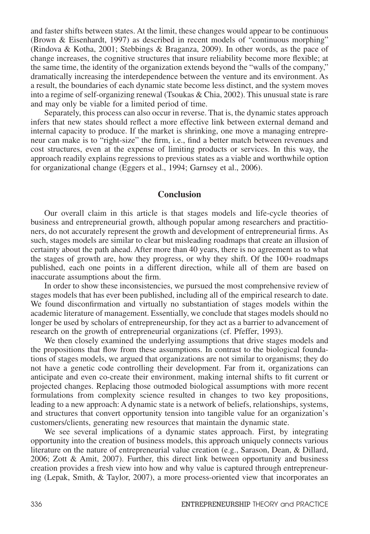and faster shifts between states. At the limit, these changes would appear to be continuous (Brown & Eisenhardt, 1997) as described in recent models of "continuous morphing" (Rindova & Kotha, 2001; Stebbings & Braganza, 2009). In other words, as the pace of change increases, the cognitive structures that insure reliability become more flexible; at the same time, the identity of the organization extends beyond the "walls of the company," dramatically increasing the interdependence between the venture and its environment. As a result, the boundaries of each dynamic state become less distinct, and the system moves into a regime of self-organizing renewal (Tsoukas & Chia, 2002). This unusual state is rare and may only be viable for a limited period of time.

Separately, this process can also occur in reverse. That is, the dynamic states approach infers that new states should reflect a more effective link between external demand and internal capacity to produce. If the market is shrinking, one move a managing entrepreneur can make is to "right-size" the firm, i.e., find a better match between revenues and cost structures, even at the expense of limiting products or services. In this way, the approach readily explains regressions to previous states as a viable and worthwhile option for organizational change (Eggers et al., 1994; Garnsey et al., 2006).

### **Conclusion**

Our overall claim in this article is that stages models and life-cycle theories of business and entrepreneurial growth, although popular among researchers and practitioners, do not accurately represent the growth and development of entrepreneurial firms. As such, stages models are similar to clear but misleading roadmaps that create an illusion of certainty about the path ahead. After more than 40 years, there is no agreement as to what the stages of growth are, how they progress, or why they shift. Of the 100+ roadmaps published, each one points in a different direction, while all of them are based on inaccurate assumptions about the firm.

In order to show these inconsistencies, we pursued the most comprehensive review of stages models that has ever been published, including all of the empirical research to date. We found disconfirmation and virtually no substantiation of stages models within the academic literature of management. Essentially, we conclude that stages models should no longer be used by scholars of entrepreneurship, for they act as a barrier to advancement of research on the growth of entrepreneurial organizations (cf. Pfeffer, 1993).

We then closely examined the underlying assumptions that drive stages models and the propositions that flow from these assumptions. In contrast to the biological foundations of stages models, we argued that organizations are not similar to organisms; they do not have a genetic code controlling their development. Far from it, organizations can anticipate and even co-create their environment, making internal shifts to fit current or projected changes. Replacing those outmoded biological assumptions with more recent formulations from complexity science resulted in changes to two key propositions, leading to a new approach: A dynamic state is a network of beliefs, relationships, systems, and structures that convert opportunity tension into tangible value for an organization's customers/clients, generating new resources that maintain the dynamic state.

We see several implications of a dynamic states approach. First, by integrating opportunity into the creation of business models, this approach uniquely connects various literature on the nature of entrepreneurial value creation (e.g., Sarason, Dean, & Dillard, 2006; Zott & Amit, 2007). Further, this direct link between opportunity and business creation provides a fresh view into how and why value is captured through entrepreneuring (Lepak, Smith, & Taylor, 2007), a more process-oriented view that incorporates an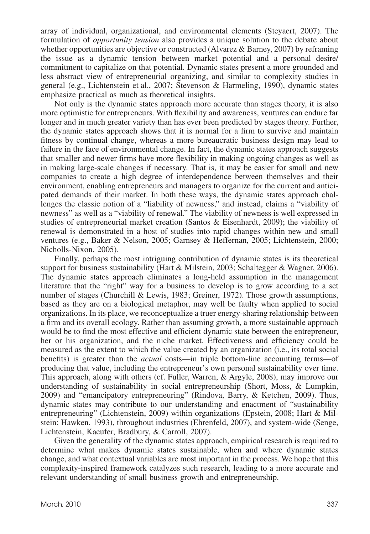array of individual, organizational, and environmental elements (Steyaert, 2007). The formulation of *opportunity tension* also provides a unique solution to the debate about whether opportunities are objective or constructed (Alvarez & Barney, 2007) by reframing the issue as a dynamic tension between market potential and a personal desire/ commitment to capitalize on that potential. Dynamic states present a more grounded and less abstract view of entrepreneurial organizing, and similar to complexity studies in general (e.g., Lichtenstein et al., 2007; Stevenson & Harmeling, 1990), dynamic states emphasize practical as much as theoretical insights.

Not only is the dynamic states approach more accurate than stages theory, it is also more optimistic for entrepreneurs. With flexibility and awareness, ventures can endure far longer and in much greater variety than has ever been predicted by stages theory. Further, the dynamic states approach shows that it is normal for a firm to survive and maintain fitness by continual change, whereas a more bureaucratic business design may lead to failure in the face of environmental change. In fact, the dynamic states approach suggests that smaller and newer firms have more flexibility in making ongoing changes as well as in making large-scale changes if necessary. That is, it may be easier for small and new companies to create a high degree of interdependence between themselves and their environment, enabling entrepreneurs and managers to organize for the current and anticipated demands of their market. In both these ways, the dynamic states approach challenges the classic notion of a "liability of newness," and instead, claims a "viability of newness" as well as a "viability of renewal." The viability of newness is well expressed in studies of entrepreneurial market creation (Santos & Eisenhardt, 2009); the viability of renewal is demonstrated in a host of studies into rapid changes within new and small ventures (e.g., Baker & Nelson, 2005; Garnsey & Heffernan, 2005; Lichtenstein, 2000; Nicholls-Nixon, 2005).

Finally, perhaps the most intriguing contribution of dynamic states is its theoretical support for business sustainability (Hart & Milstein, 2003; Schaltegger & Wagner, 2006). The dynamic states approach eliminates a long-held assumption in the management literature that the "right" way for a business to develop is to grow according to a set number of stages (Churchill & Lewis, 1983; Greiner, 1972). Those growth assumptions, based as they are on a biological metaphor, may well be faulty when applied to social organizations. In its place, we reconceptualize a truer energy-sharing relationship between a firm and its overall ecology. Rather than assuming growth, a more sustainable approach would be to find the most effective and efficient dynamic state between the entrepreneur, her or his organization, and the niche market. Effectiveness and efficiency could be measured as the extent to which the value created by an organization (i.e., its total social benefits) is greater than the *actual* costs—in triple bottom-line accounting terms—of producing that value, including the entrepreneur's own personal sustainability over time. This approach, along with others (cf. Fuller, Warren, & Argyle, 2008), may improve our understanding of sustainability in social entrepreneurship (Short, Moss, & Lumpkin, 2009) and "emancipatory entrepreneuring" (Rindova, Barry, & Ketchen, 2009). Thus, dynamic states may contribute to our understanding and enactment of "sustainability entrepreneuring" (Lichtenstein, 2009) within organizations (Epstein, 2008; Hart & Milstein; Hawken, 1993), throughout industries (Ehrenfeld, 2007), and system-wide (Senge, Lichtenstein, Kaeufer, Bradbury, & Carroll, 2007).

Given the generality of the dynamic states approach, empirical research is required to determine what makes dynamic states sustainable, when and where dynamic states change, and what contextual variables are most important in the process. We hope that this complexity-inspired framework catalyzes such research, leading to a more accurate and relevant understanding of small business growth and entrepreneurship.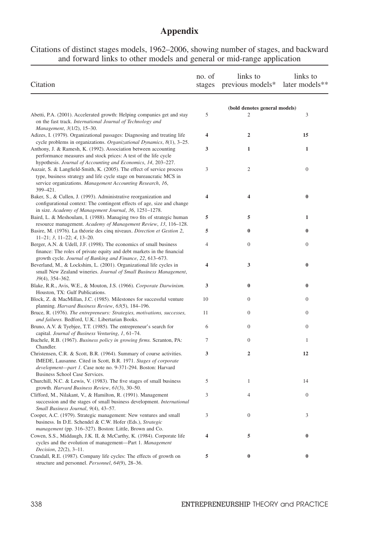Citations of distinct stages models, 1962–2006, showing number of stages, and backward and forward links to other models and general or mid-range application

| Citation                                                                                                                                                                                                                                   | no. of<br>stages        | links to<br>previous models*  | links to<br>later models** |
|--------------------------------------------------------------------------------------------------------------------------------------------------------------------------------------------------------------------------------------------|-------------------------|-------------------------------|----------------------------|
|                                                                                                                                                                                                                                            |                         | (bold denotes general models) |                            |
| Abetti, P.A. (2001). Accelerated growth: Helping companies get and stay<br>on the fast track. International Journal of Technology and<br>Management, 3(1/2), 15-30.                                                                        | 5                       | 2                             | 3                          |
| Adizes, I. (1979). Organizational passages: Diagnosing and treating life<br>cycle problems in organizations. Organizational Dynamics, 8(1), 3-25.                                                                                          | $\overline{\mathbf{4}}$ | $\boldsymbol{2}$              | 15                         |
| Anthony, J. & Ramesh, K. (1992). Association between accounting<br>performance measures and stock prices: A test of the life cycle<br>hypothesis. Journal of Accounting and Economics, 14, 203-227.                                        | 3                       | 1                             | 1                          |
| Auzair, S. & Langfield-Smith, K. (2005). The effect of service process<br>type, business strategy and life cycle stage on bureaucratic MCS in<br>service organizations. Management Accounting Research, 16,<br>399-421.                    | 3                       | $\mathfrak{2}$                | $\boldsymbol{0}$           |
| Baker, S., & Cullen, J. (1993). Administrative reorganization and<br>configurational context: The contingent effects of age, size and change<br>in size. Academy of Management Journal, 36, 1251-1278.                                     | $\overline{\mathbf{4}}$ | 4                             | $\bf{0}$                   |
| Baird, L. & Meshoulam, I. (1988). Managing two fits of strategic human<br>resource management. Academy of Management Review, 13, 116-128.                                                                                                  | 5                       | 5                             | $\mathbf{1}$               |
| Basire, M. (1976). La théorie des cinq niveaux. Direction et Gestion 2,<br>$11-21$ ; 3, $11-22$ ; 4, $13-20$ .                                                                                                                             | 5                       | 0                             | $\bf{0}$                   |
| Berger, A.N. & Udell, J.F. (1998). The economics of small business<br>finance: The roles of private equity and debt markets in the financial<br>growth cycle. Journal of Banking and Finance, 22, 613-673.                                 | $\overline{4}$          | $\boldsymbol{0}$              | $\boldsymbol{0}$           |
| Beverland, M., & Lockshim, L. (2001). Organizational life cycles in<br>small New Zealand wineries. Journal of Small Business Management,<br>$39(4)$ , $354-362$ .                                                                          | $\overline{\mathbf{4}}$ | 3                             | $\bf{0}$                   |
| Blake, R.R., Avis, W.E., & Mouton, J.S. (1966). Corporate Darwinism.<br>Houston, TX: Gulf Publications.                                                                                                                                    | 3                       | 0                             | $\bf{0}$                   |
| Block, Z. & MacMillan, J.C. (1985). Milestones for successful venture<br>planning. Harvard Business Review, 63(5), 184-196.                                                                                                                | 10                      | $\boldsymbol{0}$              | $\mathbf{0}$               |
| Bruce, R. (1976). The entrepreneurs: Strategies, motivations, successes,<br>and failures. Bedford, U.K.: Libertarian Books.                                                                                                                | 11                      | $\boldsymbol{0}$              | $\mathbf{0}$               |
| Bruno, A.V. & Tyebjee, T.T. (1985). The entrepreneur's search for<br>capital. Journal of Business Venturing, 1, 61-74.                                                                                                                     | 6                       | $\boldsymbol{0}$              | $\boldsymbol{0}$           |
| Buchele, R.B. (1967). Business policy in growing firms. Scranton, PA:<br>Chandler.                                                                                                                                                         | $\tau$                  | $\boldsymbol{0}$              | 1                          |
| Christensen, C.R. & Scott, B.R. (1964). Summary of course activities.<br>IMEDE, Lausanne. Cited in Scott, B.R. 1971. Stages of corporate<br>development-part 1. Case note no. 9-371-294. Boston: Harvard<br>Business School Case Services. | 3                       | 2                             | 12                         |
| Churchill, N.C. & Lewis, V. (1983). The five stages of small business<br>growth. Harvard Business Review, 61(3), 30-50.                                                                                                                    | 5                       | 1                             | 14                         |
| Clifford, M., Nilakant, V., & Hamilton, R. (1991). Management<br>succession and the stages of small business development. International<br>Small Business Journal, 9(4), 43-57.                                                            | 3                       | 4                             | $\boldsymbol{0}$           |
| Cooper, A.C. (1979). Strategic management: New ventures and small<br>business. In D.E. Schendel & C.W. Hofer (Eds.), Strategic<br>management (pp. 316–327). Boston: Little, Brown and Co.                                                  | 3                       | $\boldsymbol{0}$              | 3                          |
| Cowen, S.S., Middaugh, J.K. II, & McCarthy, K. (1984). Corporate life<br>cycles and the evolution of management-Part 1. Management<br>Decision, 22(2), 3-11.                                                                               | 4                       | 5                             | $\boldsymbol{0}$           |
| Crandall, R.E. (1987). Company life cycles: The effects of growth on<br>structure and personnel. Personnel, 64(9), 28-36.                                                                                                                  | 5                       | $\boldsymbol{0}$              | $\boldsymbol{0}$           |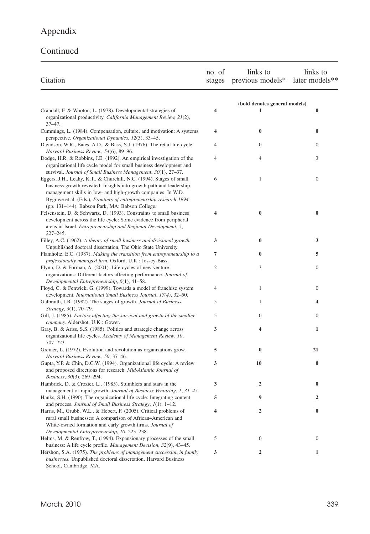# Continued

| Citation                                                                                                                                                                                                                                                                                                                             | no. of<br>stages | links to<br>previous models*  | links to<br>later models** |
|--------------------------------------------------------------------------------------------------------------------------------------------------------------------------------------------------------------------------------------------------------------------------------------------------------------------------------------|------------------|-------------------------------|----------------------------|
|                                                                                                                                                                                                                                                                                                                                      |                  | (bold denotes general models) |                            |
| Crandall, F. & Wooton, L. (1978). Developmental strategies of<br>organizational productivity. California Management Review, 21(2),                                                                                                                                                                                                   | 4                | 1                             | $\bf{0}$                   |
| $37 - 47$ .<br>Cummings, L. (1984). Compensation, culture, and motivation: A systems<br>perspective. Organizational Dynamics, 12(3), 33-45.                                                                                                                                                                                          | 4                | $\bf{0}$                      | 0                          |
| Davidson, W.R., Bates, A.D., & Bass, S.J. (1976). The retail life cycle.<br>Harvard Business Review, 54(6), 89-96.                                                                                                                                                                                                                   | $\overline{4}$   | $\boldsymbol{0}$              | $\boldsymbol{0}$           |
| Dodge, H.R. & Robbins, J.E. (1992). An empirical investigation of the<br>organizational life cycle model for small business development and<br>survival. Journal of Small Business Management, 30(1), 27-37.                                                                                                                         | $\overline{4}$   | 4                             | 3                          |
| Eggers, J.H., Leahy, K.T., & Churchill, N.C. (1994). Stages of small<br>business growth revisited: Insights into growth path and leadership<br>management skills in low- and high-growth companies. In W.D.<br>Bygrave et al. (Eds.), Frontiers of entrepreneurship research 1994<br>(pp. 131-144). Babson Park, MA: Babson College. | 6                | $\mathbf{1}$                  | $\boldsymbol{0}$           |
| Felsenstein, D. & Schwartz, D. (1993). Constraints to small business<br>development across the life cycle: Some evidence from peripheral<br>areas in Israel. Entrepreneurship and Regional Development, 5,<br>$227 - 245$ .                                                                                                          | 4                | $\bf{0}$                      | $\bf{0}$                   |
| Filley, A.C. (1962). A theory of small business and divisional growth.<br>Unpublished doctoral dissertation, The Ohio State University.                                                                                                                                                                                              | 3                | $\bf{0}$                      | 3                          |
| Flamholtz, E.C. (1987). Making the transition from entrepreneurship to a<br>professionally managed firm. Oxford, U.K.: Jossey-Bass.                                                                                                                                                                                                  | 7                | $\bf{0}$                      | 5                          |
| Flynn, D. & Forman, A. (2001). Life cycles of new venture<br>organizations: Different factors affecting performance. Journal of                                                                                                                                                                                                      | $\mathbf{2}$     | 3                             | $\boldsymbol{0}$           |
| Developmental Entrepreneurship, 6(1), 41-58.<br>Floyd, C. & Fenwick, G. (1999). Towards a model of franchise system                                                                                                                                                                                                                  | 4                | $\mathbf{1}$                  | $\boldsymbol{0}$           |
| development. International Small Business Journal, 17(4), 32-50.<br>Galbraith, J.R. (1982). The stages of growth. Journal of Business                                                                                                                                                                                                | 5                | 1                             | 4                          |
| Strategy, 3(1), 70-79.<br>Gill, J. (1985). Factors affecting the survival and growth of the smaller                                                                                                                                                                                                                                  | 5                | $\boldsymbol{0}$              | $\boldsymbol{0}$           |
| company. Aldershot, U.K.: Gower.<br>Gray, B. & Ariss, S.S. (1985). Politics and strategic change across<br>organizational life cycles. Academy of Management Review, 10,<br>707-723.                                                                                                                                                 | 3                | 4                             | 1                          |
| Greiner, L. (1972). Evolution and revolution as organizations grow.<br>Harvard Business Review, 50, 37-46.                                                                                                                                                                                                                           | 5                | $\bf{0}$                      | 21                         |
| Gupta, Y.P. & Chin, D.C.W. (1994). Organizational life cycle: A review<br>and proposed directions for research. Mid-Atlantic Journal of<br>Business, 30(3), 269-294.                                                                                                                                                                 | 3                | 10                            | 0                          |
| Hambrick, D. & Crozier, L., (1985). Stumblers and stars in the                                                                                                                                                                                                                                                                       | 3                | 2                             | $\bf{0}$                   |
| management of rapid growth. Journal of Business Venturing, 1, 31–45.<br>Hanks, S.H. (1990). The organizational life cycle: Integrating content<br>and process. Journal of Small Business Strategy, 1(1), 1-12.                                                                                                                       | 5                | 9                             | 2                          |
| Harris, M., Grubb, W.L., & Hebert, F. (2005). Critical problems of<br>rural small businesses: A comparison of African-American and<br>White-owned formation and early growth firms. Journal of<br>Developmental Entrepreneurship, 10, 223–238.                                                                                       | 4                | 2                             | $\boldsymbol{0}$           |
| Helms, M. & Renfrow, T., (1994). Expansionary processes of the small<br>business: A life cycle profile. Management Decision, 32(9), 43-45.                                                                                                                                                                                           | 5                | $\boldsymbol{0}$              | $\boldsymbol{0}$           |
| Hershon, S.A. (1975). The problems of management succession in family<br>businesses. Unpublished doctoral dissertation, Harvard Business<br>School, Cambridge, MA.                                                                                                                                                                   | 3                | 2                             | 1                          |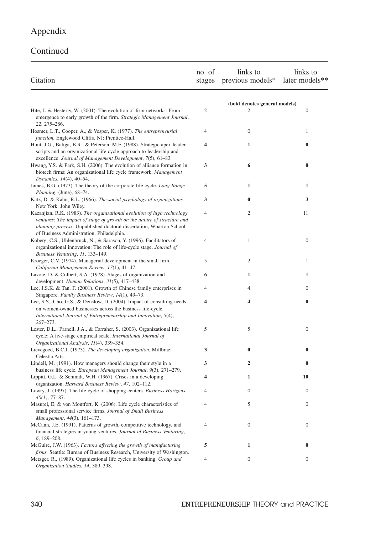# Continued

| Citation                                                                                                                                                                                                                                                              | no. of<br>stages | links to<br>previous models*  | links to<br>later models** |
|-----------------------------------------------------------------------------------------------------------------------------------------------------------------------------------------------------------------------------------------------------------------------|------------------|-------------------------------|----------------------------|
|                                                                                                                                                                                                                                                                       |                  | (bold denotes general models) |                            |
| Hite, J. & Hesterly, W. (2001). The evolution of firm networks: From<br>emergence to early growth of the firm. Strategic Management Journal,<br>22, 275-286.                                                                                                          | $\mathfrak{2}$   | 2                             | $\boldsymbol{0}$           |
| Hosmer, L.T., Cooper, A., & Vesper, K. (1977). The entrepreneurial<br>function. Englewood Cliffs, NJ: Prentice-Hall.                                                                                                                                                  | 4                | $\boldsymbol{0}$              | 1                          |
| Hunt, J.G., Baliga, B.R., & Peterson, M.F. (1988). Strategic apex leader<br>scripts and an organizational life cycle approach to leadership and<br>excellence. Journal of Management Development, 7(5), 61-83.                                                        | 4                | 1                             | $\bf{0}$                   |
| Hwang, Y.S. & Park, S.H. (2006). The evolution of alliance formation in<br>biotech firms: An organizational life cycle framework. Management<br>Dynamics, 14(4), 40-54.                                                                                               | 3                | 6                             | $\bf{0}$                   |
| James, B.G. (1973). The theory of the corporate life cycle. Long Range<br>Planning, (June), 68-74.                                                                                                                                                                    | 5                | 1                             | $\mathbf{1}$               |
| Katz, D. & Kahn, R.L. (1966). The social psychology of organizations.<br>New York: John Wiley.                                                                                                                                                                        | 3                | $\bf{0}$                      | 3                          |
| Kazanjian, R.K. (1983). The organizational evolution of high technology<br>ventures: The impact of stage of growth on the nature of structure and<br>planning process. Unpublished doctoral dissertation, Wharton School<br>of Business Administration, Philadelphia. | $\overline{4}$   | 2                             | 11                         |
| Koberg, C.S., Uhlenbruck, N., & Sarason, Y. (1996). Facilitators of<br>organizational innovation: The role of life-cycle stage. Journal of<br>Business Venturing, 11, 133-149.                                                                                        | 4                | 1                             | $\boldsymbol{0}$           |
| Kroeger, C.V. (1974). Managerial development in the small firm.<br>California Management Review, 17(1), 41-47.                                                                                                                                                        | 5                | 2                             | 1                          |
| Lavoie, D. & Culbert, S.A. (1978). Stages of organization and<br>development. Human Relations, 31(5), 417-438.                                                                                                                                                        | 6                | 1                             | 1                          |
| Lee, J.S.K. & Tan, F. (2001). Growth of Chinese family enterprises in<br>Singapore. Family Business Review, 14(1), 49-73.                                                                                                                                             | 4                | 4                             | $\mathbf{0}$               |
| Lee, S.S., Cho, G.S., & Denslow, D. (2004). Impact of consulting needs<br>on women-owned businesses across the business life-cycle.<br>International Journal of Entrepreneurship and Innovation, 5(4),<br>$267 - 273.$                                                | 4                | 4                             | $\bf{0}$                   |
| Lester, D.L., Parnell, J.A., & Carraher, S. (2003). Organizational life<br>cycle: A five-stage empirical scale. International Journal of<br>Organizational Analysis, 11(4), 339-354.                                                                                  | 5                | 5                             | $\boldsymbol{0}$           |
| Lievegoed, B.C.J. (1973). The developing organization. Millbrae:<br>Celestia Arts.                                                                                                                                                                                    | 3                | $\bf{0}$                      | 0                          |
| Lindell, M. (1991). How managers should change their style in a<br>business life cycle. European Management Journal, 9(3), 271-279.                                                                                                                                   | 3                | 2                             | $\bf{0}$                   |
| Lippitt, G.L. & Schmidt, W.H. (1967). Crises in a developing<br>organization. Harvard Business Review, 47, 102-112.                                                                                                                                                   | 4                | 1                             | 10                         |
| Lowry, J. (1997). The life cycle of shopping centers. Business Horizons,<br>$40(1)$ , 77–87.                                                                                                                                                                          | 4                | $\boldsymbol{0}$              | $\mathbf{0}$               |
| Masurel, E. & von Montfort, K. (2006). Life cycle characteristics of<br>small professional service firms. Journal of Small Business<br>Management, 44(3), 161-173.                                                                                                    | 4                | 5                             | $\boldsymbol{0}$           |
| McCann, J.E. (1991). Patterns of growth, competitive technology, and<br>financial strategies in young ventures. Journal of Business Venturing,<br>$6, 189 - 208.$                                                                                                     | 4                | $\boldsymbol{0}$              | $\boldsymbol{0}$           |
| McGuire, J.W. (1963). Factors affecting the growth of manufacturing<br>firms. Seattle: Bureau of Business Research, University of Washington.                                                                                                                         | 5                | 1                             | $\bf{0}$                   |
| Metzger, R., (1989). Organizational life cycles in banking. Group and<br>Organization Studies, 14, 389-398.                                                                                                                                                           | 4                | $\boldsymbol{0}$              | $\boldsymbol{0}$           |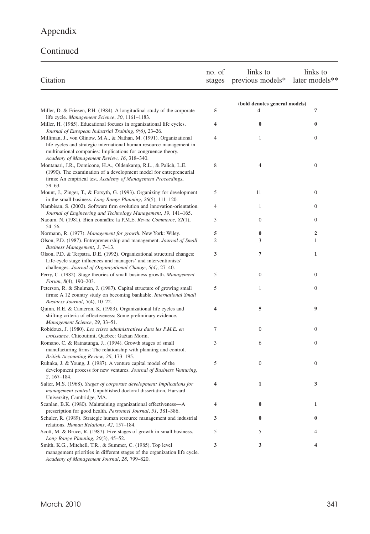# Continued

| Citation                                                                                                                                                                                                                                                  | no. of<br>stages        | links to<br>previous models*  | links to<br>later models** |
|-----------------------------------------------------------------------------------------------------------------------------------------------------------------------------------------------------------------------------------------------------------|-------------------------|-------------------------------|----------------------------|
|                                                                                                                                                                                                                                                           |                         | (bold denotes general models) |                            |
| Miller, D. & Friesen, P.H. (1984). A longitudinal study of the corporate<br>life cycle. Management Science, 30, 1161-1183.                                                                                                                                | 5                       |                               | 7                          |
| Miller, H. (1985). Educational focuses in organizational life cycles.<br>Journal of European Industrial Training, 9(6), 23-26.                                                                                                                            | 4                       | 0                             | $\bf{0}$                   |
| Milliman, J., von Glinow, M.A., & Nathan, M. (1991). Organizational<br>life cycles and strategic international human resource management in<br>multinational companies: Implications for congruence theory.<br>Academy of Management Review, 16, 318-340. | $\overline{4}$          | $\mathbf{1}$                  | $\boldsymbol{0}$           |
| Montanari, J.R., Domicone, H.A., Oldenkamp, R.L., & Palich, L.E.<br>(1990). The examination of a development model for entrepreneurial<br>firms: An empirical test. Academy of Management Proceedings,<br>$59 - 63$ .                                     | 8                       | $\overline{4}$                | $\boldsymbol{0}$           |
| Mount, J., Zinger, T., & Forsyth, G. (1993). Organizing for development<br>in the small business. Long Range Planning, $26(5)$ , $111-120$ .                                                                                                              | 5                       | 11                            | $\boldsymbol{0}$           |
| Nambisan, S. (2002). Software firm evolution and innovation-orientation.<br>Journal of Engineering and Technology Management, 19, 141-165.                                                                                                                | $\overline{4}$          | $\mathbf{1}$                  | $\boldsymbol{0}$           |
| Naoum, N. (1981). Bien connaître la P.M.E. Revue Commerce, 82(1),<br>$54 - 56.$                                                                                                                                                                           | 5                       | $\mathbf{0}$                  | $\mathbf{0}$               |
| Normann, R. (1977). Management for growth. New York: Wiley.                                                                                                                                                                                               | 5                       | $\boldsymbol{0}$              | $\overline{2}$             |
| Olson, P.D. (1987). Entrepreneurship and management. Journal of Small<br>Business Management, 3, 7-13.                                                                                                                                                    | $\overline{c}$          | 3                             | 1                          |
| Olson, P.D. & Terpstra, D.E. (1992). Organizational structural changes:<br>Life-cycle stage influences and managers' and interventionists'<br>challenges. Journal of Organizational Change, 5(4), 27-40.                                                  | 3                       | 7                             | 1                          |
| Perry, C. (1982). Stage theories of small business growth. Management<br>Forum, 8(4), 190-203.                                                                                                                                                            | 5                       | $\boldsymbol{0}$              | $\boldsymbol{0}$           |
| Peterson, R. & Shulman, J. (1987). Capital structure of growing small<br>firms: A 12 country study on becoming bankable. International Small<br>Business Journal, 5(4), 10-22.                                                                            | 5                       | $\mathbf{1}$                  | $\boldsymbol{0}$           |
| Quinn, R.E. & Cameron, K. (1983). Organizational life cycles and<br>shifting criteria of effectiveness: Some preliminary evidence.<br>Management Science, 29, 33-51.                                                                                      | $\overline{\mathbf{4}}$ | 5                             | 9                          |
| Robidoux, J. (1980). Les crises administratives dans les P.M.E. en<br>croissance. Chicoutimi, Quebec: Gaétan Morin.                                                                                                                                       | 7                       | $\boldsymbol{0}$              | $\boldsymbol{0}$           |
| Romano, C. & Ratnatunga, J., (1994). Growth stages of small<br>manufacturing firms: The relationship with planning and control.<br>British Accounting Review, 26, 173-195.                                                                                | 3                       | 6                             | $\overline{0}$             |
| Ruhnka, J. & Young, J. (1987). A venture capital model of the<br>development process for new ventures. Journal of Business Venturing,<br>2, 167-184.                                                                                                      | 5                       | $\boldsymbol{0}$              | $\boldsymbol{0}$           |
| Salter, M.S. (1968). Stages of corporate development: Implications for<br>management control. Unpublished doctoral dissertation, Harvard<br>University, Cambridge, MA.                                                                                    | 4                       | 1                             | 3                          |
| Scanlan, B.K. (1980). Maintaining organizational effectiveness-A<br>prescription for good health. Personnel Journal, 51, 381-386.                                                                                                                         | 4                       | $\bf{0}$                      | 1                          |
| Schuler, R. (1989). Strategic human resource management and industrial<br>relations. Human Relations, 42, 157-184.                                                                                                                                        | 3                       | $\bf{0}$                      | 0                          |
| Scott, M. & Bruce, R. (1987). Five stages of growth in small business.<br>Long Range Planning, 20(3), 45-52.                                                                                                                                              | 5                       | 5                             | 4                          |
| Smith, K.G., Mitchell, T.R., & Summer, C. (1985). Top level<br>management priorities in different stages of the organization life cycle.                                                                                                                  | 3                       | 3                             | 4                          |

*Academy of Management Journal*, *28*, 799–820.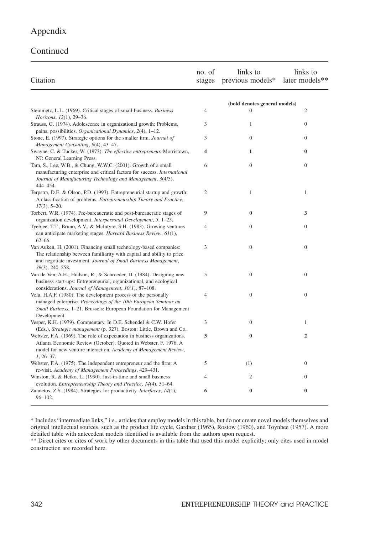# Continued

| Citation                                                                                                                                                                                                                          | no. of<br>stages | links to<br>previous models*  | links to<br>later models** |
|-----------------------------------------------------------------------------------------------------------------------------------------------------------------------------------------------------------------------------------|------------------|-------------------------------|----------------------------|
|                                                                                                                                                                                                                                   |                  | (bold denotes general models) |                            |
| Steinmetz, L.L. (1969). Critical stages of small business. Business<br>Horizons, 12(1), 29–36.                                                                                                                                    | 4                | $\Omega$                      | $\overline{2}$             |
| Strauss, G. (1974). Adolescence in organizational growth: Problems,<br>pains, possibilities. Organizational Dynamics, 2(4), 1-12.                                                                                                 | 3                | $\mathbf{1}$                  | $\mathbf{0}$               |
| Stone, E. (1997). Strategic options for the smaller firm. Journal of<br>Management Consulting, 9(4), 43-47.                                                                                                                       | 3                | $\mathbf{0}$                  | $\boldsymbol{0}$           |
| Swayne, C. & Tucker, W. (1973). The effective entrepreneur. Morristown,<br>NJ: General Learning Press.                                                                                                                            | 4                | $\mathbf{1}$                  | $\bf{0}$                   |
| Tam, S., Lee, W.B., & Chung, W.W.C. (2001). Growth of a small<br>manufacturing enterprise and critical factors for success. International<br>Journal of Manufacturing Technology and Management, 3(4/5),<br>444-454.              | 6                | $\mathbf{0}$                  | $\boldsymbol{0}$           |
| Terpstra, D.E. & Olson, P.D. (1993). Entrepreneurial startup and growth:<br>A classification of problems. Entrepreneurship Theory and Practice,<br>$17(3)$ , 5-20.                                                                | $\mathfrak{2}$   | 1                             | $\mathbf{1}$               |
| Torbert, W.R. (1974). Pre-bureaucratic and post-bureaucratic stages of<br>organization development. Interpersonal Development, 5, 1-25.                                                                                           | 9                | $\bf{0}$                      | 3                          |
| Tyebjee, T.T., Bruno, A.V., & McIntyre, S.H. (1983). Growing ventures<br>can anticipate marketing stages. Harvard Business Review, 61(1),<br>$62 - 66.$                                                                           | $\overline{4}$   | $\boldsymbol{0}$              | $\boldsymbol{0}$           |
| Van Auken, H. (2001). Financing small technology-based companies:<br>The relationship between familiarity with capital and ability to price<br>and negotiate investment. Journal of Small Business Management,<br>39(3), 240-258. | 3                | $\boldsymbol{0}$              | $\mathbf{0}$               |
| Van de Ven, A.H., Hudson, R., & Schroeder, D. (1984). Designing new<br>business start-ups: Entrepreneurial, organizational, and ecological<br>considerations. Journal of Management, 10(1), 87-108.                               | 5                | $\boldsymbol{0}$              | $\boldsymbol{0}$           |
| Velu, H.A.F. (1980). The development process of the personally<br>managed enterprise. Proceedings of the 10th European Seminar on<br>Small Business, 1-21. Brussels: European Foundation for Management<br>Development.           | $\overline{4}$   | $\overline{0}$                | $\boldsymbol{0}$           |
| Vesper, K.H. (1979). Commentary. In D.E. Schendel & C.W. Hofer<br>(Eds.), Strategic management (p. 327). Boston: Little, Brown and Co.                                                                                            | 3                | $\mathbf{0}$                  | $\mathbf{1}$               |
| Webster, F.A. (1969). The role of expectation in business organizations.<br>Atlanta Economic Review (October). Quoted in Webster, F. 1976, A<br>model for new venture interaction. Academy of Management Review,<br>$1, 26 - 37.$ | 3                | $\bf{0}$                      | $\overline{2}$             |
| Webster, F.A. (1975). The independent entrepreneur and the firm: A<br>re-visit. Academy of Management Proceedings, 429-431.                                                                                                       | 5                | (1)                           | $\boldsymbol{0}$           |
| Winston, R. & Heiko, L. (1990). Just-in-time and small business<br>evolution. Entrepreneurship Theory and Practice, 14(4), 51-64.                                                                                                 | $\overline{4}$   | $\overline{c}$                | $\mathbf{0}$               |
| Zannetos, Z.S. (1984). Strategies for productivity. Interfaces, 14(1),<br>$96 - 102.$                                                                                                                                             | 6                | $\bf{0}$                      | $\bf{0}$                   |

\* Includes "intermediate links," i.e., articles that employ models in this table, but do not create novel models themselves and original intellectual sources, such as the product life cycle, Gardner (1965), Rostow (1960), and Toynbee (1957). A more detailed table with antecedent models identified is available from the authors upon request.

\*\* Direct cites or cites of work by other documents in this table that used this model explicitly; only cites used in model construction are recorded here.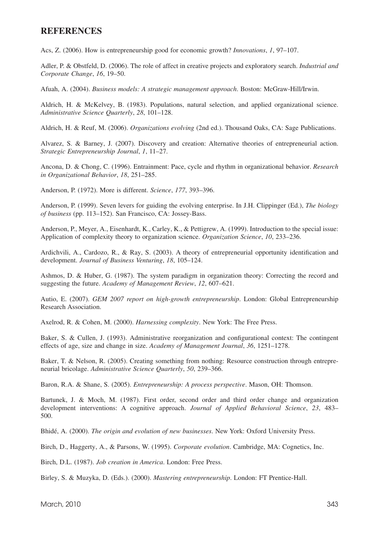## **REFERENCES**

Acs, Z. (2006). How is entrepreneurship good for economic growth? *Innovations*, *1*, 97–107.

Adler, P. & Obstfeld, D. (2006). The role of affect in creative projects and exploratory search. *Industrial and Corporate Change*, *16*, 19–50.

Afuah, A. (2004). *Business models: A strategic management approach*. Boston: McGraw-Hill/Irwin.

Aldrich, H. & McKelvey, B. (1983). Populations, natural selection, and applied organizational science. *Administrative Science Quarterly*, *28*, 101–128.

Aldrich, H. & Reuf, M. (2006). *Organizations evolving* (2nd ed.). Thousand Oaks, CA: Sage Publications.

Alvarez, S. & Barney, J. (2007). Discovery and creation: Alternative theories of entrepreneurial action. *Strategic Entrepreneurship Journal*, *1*, 11–27.

Ancona, D. & Chong, C. (1996). Entrainment: Pace, cycle and rhythm in organizational behavior. *Research in Organizational Behavior*, *18*, 251–285.

Anderson, P. (1972). More is different. *Science*, *177*, 393–396.

Anderson, P. (1999). Seven levers for guiding the evolving enterprise. In J.H. Clippinger (Ed.), *The biology of business* (pp. 113–152). San Francisco, CA: Jossey-Bass.

Anderson, P., Meyer, A., Eisenhardt, K., Carley, K., & Pettigrew, A. (1999). Introduction to the special issue: Application of complexity theory to organization science. *Organization Science*, *10*, 233–236.

Ardichvili, A., Cardozo, R., & Ray, S. (2003). A theory of entrepreneurial opportunity identification and development. *Journal of Business Venturing*, *18*, 105–124.

Ashmos, D. & Huber, G. (1987). The system paradigm in organization theory: Correcting the record and suggesting the future. *Academy of Management Review*, *12*, 607–621.

Autio, E. (2007). *GEM 2007 report on high-growth entrepreneurship*. London: Global Entrepreneurship Research Association.

Axelrod, R. & Cohen, M. (2000). *Harnessing complexity*. New York: The Free Press.

Baker, S. & Cullen, J. (1993). Administrative reorganization and configurational context: The contingent effects of age, size and change in size. *Academy of Management Journal*, *36*, 1251–1278.

Baker, T. & Nelson, R. (2005). Creating something from nothing: Resource construction through entrepreneurial bricolage. *Administrative Science Quarterly*, *50*, 239–366.

Baron, R.A. & Shane, S. (2005). *Entrepreneurship: A process perspective*. Mason, OH: Thomson.

Bartunek, J. & Moch, M. (1987). First order, second order and third order change and organization development interventions: A cognitive approach. *Journal of Applied Behavioral Science*, *23*, 483– 500.

Bhidé, A. (2000). *The origin and evolution of new businesses*. New York: Oxford University Press.

Birch, D., Haggerty, A., & Parsons, W. (1995). *Corporate evolution*. Cambridge, MA: Cognetics, Inc.

Birch, D.L. (1987). *Job creation in America*. London: Free Press.

Birley, S. & Muzyka, D. (Eds.). (2000). *Mastering entrepreneurship*. London: FT Prentice-Hall.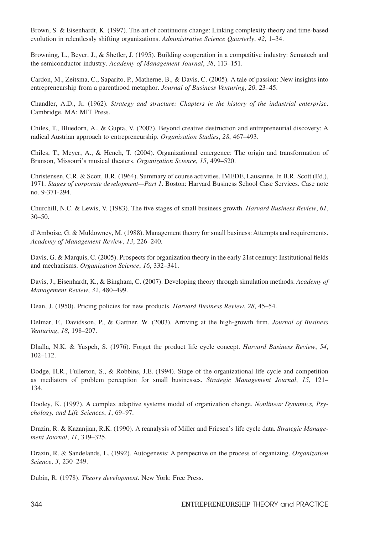Brown, S. & Eisenhardt, K. (1997). The art of continuous change: Linking complexity theory and time-based evolution in relentlessly shifting organizations. *Administrative Science Quarterly*, *42*, 1–34.

Browning, L., Beyer, J., & Shetler, J. (1995). Building cooperation in a competitive industry: Sematech and the semiconductor industry. *Academy of Management Journal*, *38*, 113–151.

Cardon, M., Zeitsma, C., Saparito, P., Matherne, B., & Davis, C. (2005). A tale of passion: New insights into entrepreneurship from a parenthood metaphor. *Journal of Business Venturing*, *20*, 23–45.

Chandler, A.D., Jr. (1962). *Strategy and structure: Chapters in the history of the industrial enterprise*. Cambridge, MA: MIT Press.

Chiles, T., Bluedorn, A., & Gupta, V. (2007). Beyond creative destruction and entrepreneurial discovery: A radical Austrian approach to entrepreneurship. *Organization Studies*, *28*, 467–493.

Chiles, T., Meyer, A., & Hench, T. (2004). Organizational emergence: The origin and transformation of Branson, Missouri's musical theaters. *Organization Science*, *15*, 499–520.

Christensen, C.R. & Scott, B.R. (1964). Summary of course activities. IMEDE, Lausanne. In B.R. Scott (Ed.), 1971. *Stages of corporate development—Part 1*. Boston: Harvard Business School Case Services. Case note no. 9-371-294.

Churchill, N.C. & Lewis, V. (1983). The five stages of small business growth. *Harvard Business Review*, *61*, 30–50.

d'Amboise, G. & Muldowney, M. (1988). Management theory for small business: Attempts and requirements. *Academy of Management Review*, *13*, 226–240.

Davis, G. & Marquis, C. (2005). Prospects for organization theory in the early 21st century: Institutional fields and mechanisms. *Organization Science*, *16*, 332–341.

Davis, J., Eisenhardt, K., & Bingham, C. (2007). Developing theory through simulation methods. *Academy of Management Review*, *32*, 480–499.

Dean, J. (1950). Pricing policies for new products. *Harvard Business Review*, *28*, 45–54.

Delmar, F., Davidsson, P., & Gartner, W. (2003). Arriving at the high-growth firm. *Journal of Business Venturing*, *18*, 198–207.

Dhalla, N.K. & Yuspeh, S. (1976). Forget the product life cycle concept. *Harvard Business Review*, *54*, 102–112.

Dodge, H.R., Fullerton, S., & Robbins, J.E. (1994). Stage of the organizational life cycle and competition as mediators of problem perception for small businesses. *Strategic Management Journal*, *15*, 121– 134.

Dooley, K. (1997). A complex adaptive systems model of organization change. *Nonlinear Dynamics, Psychology, and Life Sciences*, *1*, 69–97.

Drazin, R. & Kazanjian, R.K. (1990). A reanalysis of Miller and Friesen's life cycle data. *Strategic Management Journal*, *11*, 319–325.

Drazin, R. & Sandelands, L. (1992). Autogenesis: A perspective on the process of organizing. *Organization Science*, *3*, 230–249.

Dubin, R. (1978). *Theory development*. New York: Free Press.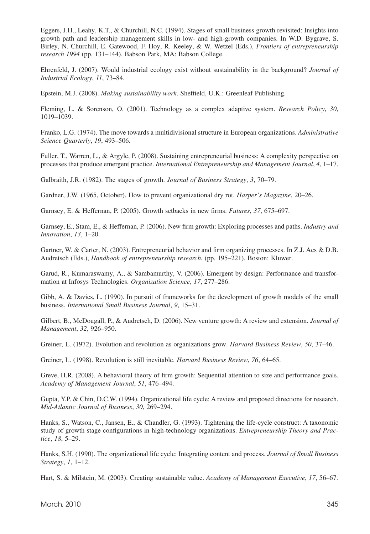Eggers, J.H., Leahy, K.T., & Churchill, N.C. (1994). Stages of small business growth revisited: Insights into growth path and leadership management skills in low- and high-growth companies. In W.D. Bygrave, S. Birley, N. Churchill, E. Gatewood, F. Hoy, R. Keeley, & W. Wetzel (Eds.), *Frontiers of entrepreneurship research 1994* (pp. 131–144). Babson Park, MA: Babson College.

Ehrenfeld, J. (2007). Would industrial ecology exist without sustainability in the background? *Journal of Industrial Ecology*, *11*, 73–84.

Epstein, M.J. (2008). *Making sustainability work*. Sheffield, U.K.: Greenleaf Publishing.

Fleming, L. & Sorenson, O. (2001). Technology as a complex adaptive system. *Research Policy*, *30*, 1019–1039.

Franko, L.G. (1974). The move towards a multidivisional structure in European organizations. *Administrative Science Quarterly*, *19*, 493–506.

Fuller, T., Warren, L., & Argyle, P. (2008). Sustaining entrepreneurial business: A complexity perspective on processes that produce emergent practice. *International Entrepreneurship and Management Journal*, *4*, 1–17.

Galbraith, J.R. (1982). The stages of growth. *Journal of Business Strategy*, *3*, 70–79.

Gardner, J.W. (1965, October). How to prevent organizational dry rot. *Harper's Magazine*, 20–26.

Garnsey, E. & Heffernan, P. (2005). Growth setbacks in new firms. *Futures*, *37*, 675–697.

Garnsey, E., Stam, E., & Heffernan, P. (2006). New firm growth: Exploring processes and paths. *Industry and Innovation*, *13*, 1–20.

Gartner, W. & Carter, N. (2003). Entrepreneurial behavior and firm organizing processes. In Z.J. Acs & D.B. Audretsch (Eds.), *Handbook of entrepreneurship research.* (pp. 195–221). Boston: Kluwer.

Garud, R., Kumaraswamy, A., & Sambamurthy, V. (2006). Emergent by design: Performance and transformation at Infosys Technologies. *Organization Science*, *17*, 277–286.

Gibb, A. & Davies, L. (1990). In pursuit of frameworks for the development of growth models of the small business. *International Small Business Journal*, *9*, 15–31.

Gilbert, B., McDougall, P., & Audretsch, D. (2006). New venture growth: A review and extension. *Journal of Management*, *32*, 926–950.

Greiner, L. (1972). Evolution and revolution as organizations grow. *Harvard Business Review*, *50*, 37–46.

Greiner, L. (1998). Revolution is still inevitable. *Harvard Business Review*, *76*, 64–65.

Greve, H.R. (2008). A behavioral theory of firm growth: Sequential attention to size and performance goals. *Academy of Management Journal*, *51*, 476–494.

Gupta, Y.P. & Chin, D.C.W. (1994). Organizational life cycle: A review and proposed directions for research. *Mid-Atlantic Journal of Business*, *30*, 269–294.

Hanks, S., Watson, C., Jansen, E., & Chandler, G. (1993). Tightening the life-cycle construct: A taxonomic study of growth stage configurations in high-technology organizations. *Entrepreneurship Theory and Practice*, *18*, 5–29.

Hanks, S.H. (1990). The organizational life cycle: Integrating content and process. *Journal of Small Business Strategy*, *1*, 1–12.

Hart, S. & Milstein, M. (2003). Creating sustainable value. *Academy of Management Executive*, *17*, 56–67.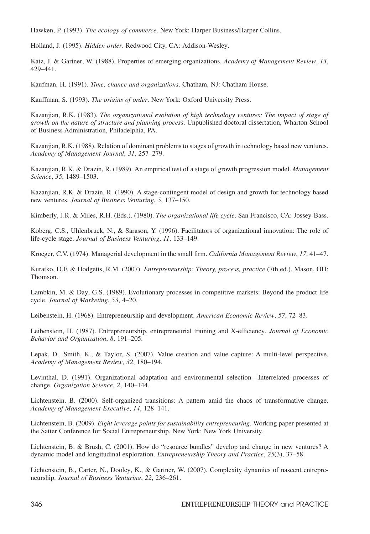Hawken, P. (1993). *The ecology of commerce*. New York: Harper Business/Harper Collins.

Holland, J. (1995). *Hidden order*. Redwood City, CA: Addison-Wesley.

Katz, J. & Gartner, W. (1988). Properties of emerging organizations. *Academy of Management Review*, *13*, 429–441.

Kaufman, H. (1991). *Time, chance and organizations*. Chatham, NJ: Chatham House.

Kauffman, S. (1993). *The origins of order*. New York: Oxford University Press.

Kazanjian, R.K. (1983). *The organizational evolution of high technology ventures: The impact of stage of growth on the nature of structure and planning process*. Unpublished doctoral dissertation, Wharton School of Business Administration, Philadelphia, PA.

Kazanjian, R.K. (1988). Relation of dominant problems to stages of growth in technology based new ventures. *Academy of Management Journal*, *31*, 257–279.

Kazanjian, R.K. & Drazin, R. (1989). An empirical test of a stage of growth progression model. *Management Science*, *35*, 1489–1503.

Kazanjian, R.K. & Drazin, R. (1990). A stage-contingent model of design and growth for technology based new ventures. *Journal of Business Venturing*, *5*, 137–150.

Kimberly, J.R. & Miles, R.H. (Eds.). (1980). *The organizational life cycle*. San Francisco, CA: Jossey-Bass.

Koberg, C.S., Uhlenbruck, N., & Sarason, Y. (1996). Facilitators of organizational innovation: The role of life-cycle stage. *Journal of Business Venturing*, *11*, 133–149.

Kroeger, C.V. (1974). Managerial development in the small firm. *California Management Review*, *17*, 41–47.

Kuratko, D.F. & Hodgetts, R.M. (2007). *Entrepreneurship: Theory, process, practice* (7th ed.). Mason, OH: Thomson.

Lambkin, M. & Day, G.S. (1989). Evolutionary processes in competitive markets: Beyond the product life cycle. *Journal of Marketing*, *53*, 4–20.

Leibenstein, H. (1968). Entrepreneurship and development. *American Economic Review*, *57*, 72–83.

Leibenstein, H. (1987). Entrepreneurship, entrepreneurial training and X-efficiency. *Journal of Economic Behavior and Organization*, *8*, 191–205.

Lepak, D., Smith, K., & Taylor, S. (2007). Value creation and value capture: A multi-level perspective. *Academy of Management Review*, *32*, 180–194.

Levinthal, D. (1991). Organizational adaptation and environmental selection—Interrelated processes of change. *Organization Science*, *2*, 140–144.

Lichtenstein, B. (2000). Self-organized transitions: A pattern amid the chaos of transformative change. *Academy of Management Executive*, *14*, 128–141.

Lichtenstein, B. (2009). *Eight leverage points for sustainability entrepreneuring*. Working paper presented at the Satter Conference for Social Entrepreneurship. New York: New York University.

Lichtenstein, B. & Brush, C. (2001). How do "resource bundles" develop and change in new ventures? A dynamic model and longitudinal exploration. *Entrepreneurship Theory and Practice*, *25*(3), 37–58.

Lichtenstein, B., Carter, N., Dooley, K., & Gartner, W. (2007). Complexity dynamics of nascent entrepreneurship. *Journal of Business Venturing*, *22*, 236–261.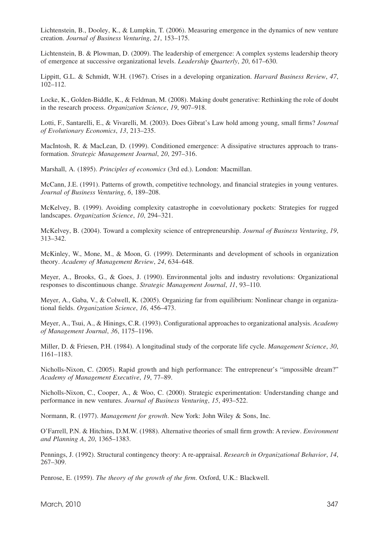Lichtenstein, B., Dooley, K., & Lumpkin, T. (2006). Measuring emergence in the dynamics of new venture creation. *Journal of Business Venturing*, *21*, 153–175.

Lichtenstein, B. & Plowman, D. (2009). The leadership of emergence: A complex systems leadership theory of emergence at successive organizational levels. *Leadership Quarterly*, *20*, 617–630.

Lippitt, G.L. & Schmidt, W.H. (1967). Crises in a developing organization. *Harvard Business Review*, *47*, 102–112.

Locke, K., Golden-Biddle, K., & Feldman, M. (2008). Making doubt generative: Rethinking the role of doubt in the research process. *Organization Science*, *19*, 907–918.

Lotti, F., Santarelli, E., & Vivarelli, M. (2003). Does Gibrat's Law hold among young, small firms? *Journal of Evolutionary Economics*, *13*, 213–235.

MacIntosh, R. & MacLean, D. (1999). Conditioned emergence: A dissipative structures approach to transformation. *Strategic Management Journal*, *20*, 297–316.

Marshall, A. (1895). *Principles of economics* (3rd ed.). London: Macmillan.

McCann, J.E. (1991). Patterns of growth, competitive technology, and financial strategies in young ventures. *Journal of Business Venturing*, *6*, 189–208.

McKelvey, B. (1999). Avoiding complexity catastrophe in coevolutionary pockets: Strategies for rugged landscapes. *Organization Science*, *10*, 294–321.

McKelvey, B. (2004). Toward a complexity science of entrepreneurship. *Journal of Business Venturing*, *19*, 313–342.

McKinley, W., Mone, M., & Moon, G. (1999). Determinants and development of schools in organization theory. *Academy of Management Review*, *24*, 634–648.

Meyer, A., Brooks, G., & Goes, J. (1990). Environmental jolts and industry revolutions: Organizational responses to discontinuous change. *Strategic Management Journal*, *11*, 93–110.

Meyer, A., Gaba, V., & Colwell, K. (2005). Organizing far from equilibrium: Nonlinear change in organizational fields. *Organization Science*, *16*, 456–473.

Meyer, A., Tsui, A., & Hinings, C.R. (1993). Configurational approaches to organizational analysis. *Academy of Management Journal*, *36*, 1175–1196.

Miller, D. & Friesen, P.H. (1984). A longitudinal study of the corporate life cycle. *Management Science*, *30*, 1161–1183.

Nicholls-Nixon, C. (2005). Rapid growth and high performance: The entrepreneur's "impossible dream?" *Academy of Management Executive*, *19*, 77–89.

Nicholls-Nixon, C., Cooper, A., & Woo, C. (2000). Strategic experimentation: Understanding change and performance in new ventures. *Journal of Business Venturing*, *15*, 493–522.

Normann, R. (1977). *Management for growth*. New York: John Wiley & Sons, Inc.

O'Farrell, P.N. & Hitchins, D.M.W. (1988). Alternative theories of small firm growth: A review. *Environment and Planning A*, *20*, 1365–1383.

Pennings, J. (1992). Structural contingency theory: A re-appraisal. *Research in Organizational Behavior*, *14*, 267–309.

Penrose, E. (1959). *The theory of the growth of the firm*. Oxford, U.K.: Blackwell.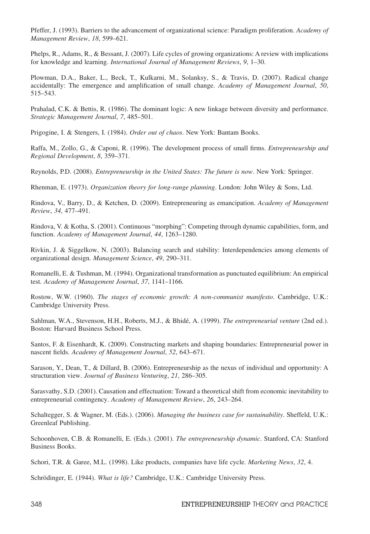Pfeffer, J. (1993). Barriers to the advancement of organizational science: Paradigm proliferation. *Academy of Management Review*, *18*, 599–621.

Phelps, R., Adams, R., & Bessant, J. (2007). Life cycles of growing organizations: A review with implications for knowledge and learning. *International Journal of Management Reviews*, *9*, 1–30.

Plowman, D.A., Baker, L., Beck, T., Kulkarni, M., Solanksy, S., & Travis, D. (2007). Radical change accidentally: The emergence and amplification of small change. *Academy of Management Journal*, *50*, 515–543.

Prahalad, C.K. & Bettis, R. (1986). The dominant logic: A new linkage between diversity and performance. *Strategic Management Journal*, *7*, 485–501.

Prigogine, I. & Stengers, I. (1984). *Order out of chaos*. New York: Bantam Books.

Raffa, M., Zollo, G., & Caponi, R. (1996). The development process of small firms. *Entrepreneurship and Regional Development*, *8*, 359–371.

Reynolds, P.D. (2008). *Entrepreneurship in the United States: The future is now*. New York: Springer.

Rhenman, E. (1973). *Organization theory for long-range planning*. London: John Wiley & Sons, Ltd.

Rindova, V., Barry, D., & Ketchen, D. (2009). Entrepreneuring as emancipation. *Academy of Management Review*, *34*, 477–491.

Rindova, V. & Kotha, S. (2001). Continuous "morphing": Competing through dynamic capabilities, form, and function. *Academy of Management Journal*, *44*, 1263–1280.

Rivkin, J. & Siggelkow, N. (2003). Balancing search and stability: Interdependencies among elements of organizational design. *Management Science*, *49*, 290–311.

Romanelli, E. & Tushman, M. (1994). Organizational transformation as punctuated equilibrium: An empirical test. *Academy of Management Journal*, *37*, 1141–1166.

Rostow, W.W. (1960). *The stages of economic growth: A non-communist manifesto*. Cambridge, U.K.: Cambridge University Press.

Sahlman, W.A., Stevenson, H.H., Roberts, M.J., & Bhidé, A. (1999). *The entrepreneurial venture* (2nd ed.). Boston: Harvard Business School Press.

Santos, F. & Eisenhardt, K. (2009). Constructing markets and shaping boundaries: Entrepreneurial power in nascent fields. *Academy of Management Journal*, *52*, 643–671.

Sarason, Y., Dean, T., & Dillard, B. (2006). Entrepreneurship as the nexus of individual and opportunity: A structuration view. *Journal of Business Venturing*, *21*, 286–305.

Sarasvathy, S.D. (2001). Causation and effectuation: Toward a theoretical shift from economic inevitability to entrepreneurial contingency. *Academy of Management Review*, *26*, 243–264.

Schaltegger, S. & Wagner, M. (Eds.). (2006). *Managing the business case for sustainability*. Sheffeld, U.K.: Greenleaf Publishing.

Schoonhoven, C.B. & Romanelli, E. (Eds.). (2001). *The entrepreneurship dynamic*. Stanford, CA: Stanford Business Books.

Schori, T.R. & Garee, M.L. (1998). Like products, companies have life cycle. *Marketing News*, *32*, 4.

Schrödinger, E. (1944). *What is life?* Cambridge, U.K.: Cambridge University Press.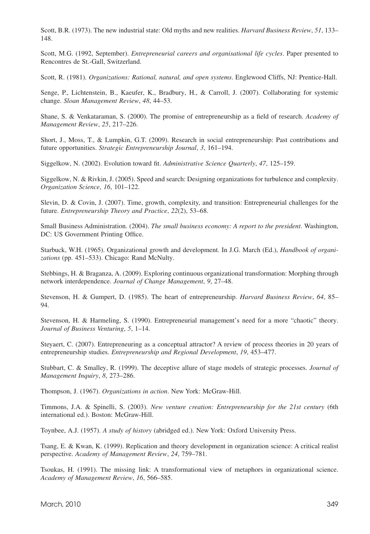Scott, B.R. (1973). The new industrial state: Old myths and new realities. *Harvard Business Review*, *51*, 133– 148.

Scott, M.G. (1992, September). *Entrepreneurial careers and organisational life cycles*. Paper presented to Rencontres de St.-Gall, Switzerland.

Scott, R. (1981). *Organizations: Rational, natural, and open systems*. Englewood Cliffs, NJ: Prentice-Hall.

Senge, P., Lichtenstein, B., Kaeufer, K., Bradbury, H., & Carroll, J. (2007). Collaborating for systemic change. *Sloan Management Review*, *48*, 44–53.

Shane, S. & Venkataraman, S. (2000). The promise of entrepreneurship as a field of research. *Academy of Management Review*, *25*, 217–226.

Short, J., Moss, T., & Lumpkin, G.T. (2009). Research in social entrepreneurship: Past contributions and future opportunities. *Strategic Entrepreneurship Journal*, *3*, 161–194.

Siggelkow, N. (2002). Evolution toward fit. *Administrative Science Quarterly*, *47*, 125–159.

Siggelkow, N. & Rivkin, J. (2005). Speed and search: Designing organizations for turbulence and complexity. *Organization Science*, *16*, 101–122.

Slevin, D. & Covin, J. (2007). Time, growth, complexity, and transition: Entrepreneurial challenges for the future. *Entrepreneurship Theory and Practice*, *22*(2), 53–68.

Small Business Administration. (2004). *The small business economy: A report to the president*. Washington, DC: US Government Printing Office.

Starbuck, W.H. (1965). Organizational growth and development. In J.G. March (Ed.), *Handbook of organizations* (pp. 451–533). Chicago: Rand McNulty.

Stebbings, H. & Braganza, A. (2009). Exploring continuous organizational transformation: Morphing through network interdependence. *Journal of Change Management*, *9*, 27–48.

Stevenson, H. & Gumpert, D. (1985). The heart of entrepreneurship. *Harvard Business Review*, *64*, 85– 94.

Stevenson, H. & Harmeling, S. (1990). Entrepreneurial management's need for a more "chaotic" theory. *Journal of Business Venturing*, *5*, 1–14.

Steyaert, C. (2007). Entrepreneuring as a conceptual attractor? A review of process theories in 20 years of entrepreneurship studies. *Entrepreneurship and Regional Development*, *19*, 453–477.

Stubbart, C. & Smalley, R. (1999). The deceptive allure of stage models of strategic processes. *Journal of Management Inquiry*, *8*, 273–286.

Thompson, J. (1967). *Organizations in action*. New York: McGraw-Hill.

Timmons, J.A. & Spinelli, S. (2003). *New venture creation: Entrepreneurship for the 21st century* (6th international ed.). Boston: McGraw-Hill.

Toynbee, A.J. (1957). *A study of history* (abridged ed.). New York: Oxford University Press.

Tsang, E. & Kwan, K. (1999). Replication and theory development in organization science: A critical realist perspective. *Academy of Management Review*, *24*, 759–781.

Tsoukas, H. (1991). The missing link: A transformational view of metaphors in organizational science. *Academy of Management Review*, *16*, 566–585.